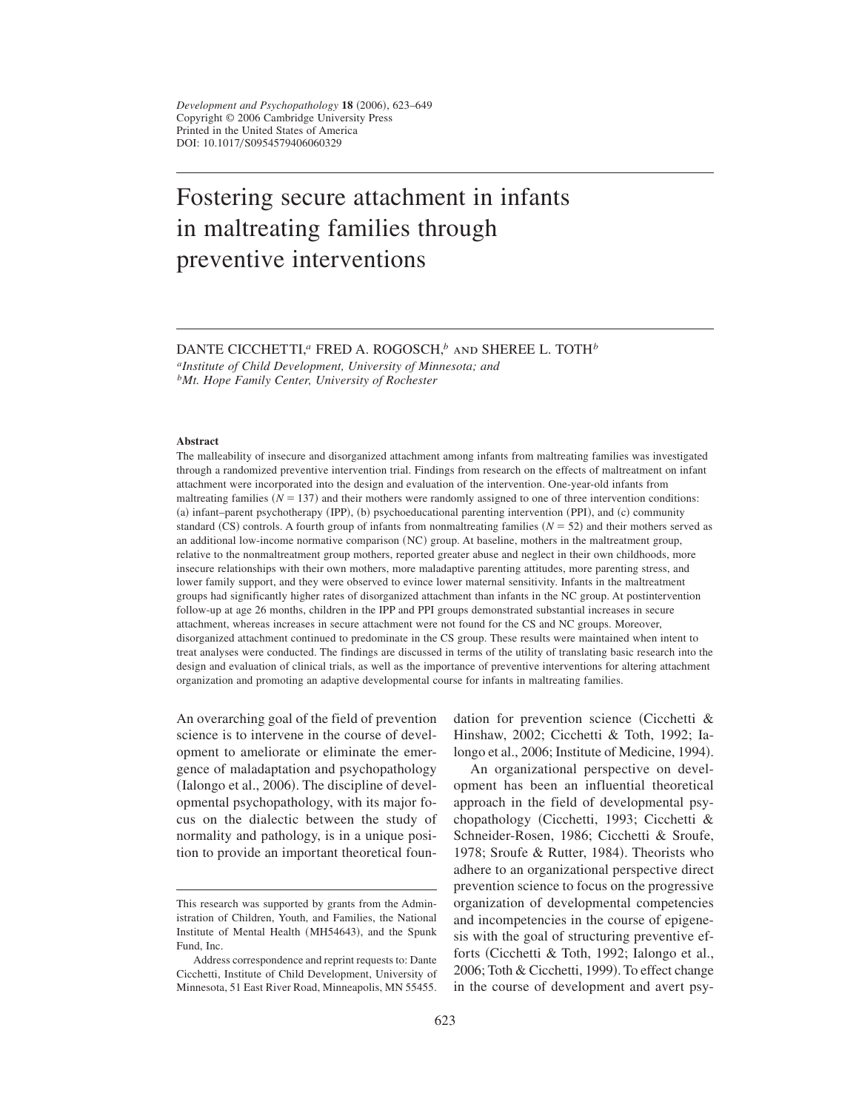# Fostering secure attachment in infants in maltreating families through preventive interventions

# DANTE CICCHETTI,*<sup>a</sup>* FRED A. ROGOSCH,*<sup>b</sup>* and SHEREE L. TOTH*<sup>b</sup>*

*aInstitute of Child Development, University of Minnesota; and bMt. Hope Family Center, University of Rochester*

#### **Abstract**

The malleability of insecure and disorganized attachment among infants from maltreating families was investigated through a randomized preventive intervention trial. Findings from research on the effects of maltreatment on infant attachment were incorporated into the design and evaluation of the intervention. One-year-old infants from maltreating families  $(N = 137)$  and their mothers were randomly assigned to one of three intervention conditions: (a) infant–parent psychotherapy (IPP), (b) psychoeducational parenting intervention (PPI), and (c) community standard  $(CS)$  controls. A fourth group of infants from nonmaltreating families  $(N = 52)$  and their mothers served as an additional low-income normative comparison (NC) group. At baseline, mothers in the maltreatment group, relative to the nonmaltreatment group mothers, reported greater abuse and neglect in their own childhoods, more insecure relationships with their own mothers, more maladaptive parenting attitudes, more parenting stress, and lower family support, and they were observed to evince lower maternal sensitivity. Infants in the maltreatment groups had significantly higher rates of disorganized attachment than infants in the NC group. At postintervention follow-up at age 26 months, children in the IPP and PPI groups demonstrated substantial increases in secure attachment, whereas increases in secure attachment were not found for the CS and NC groups. Moreover, disorganized attachment continued to predominate in the CS group. These results were maintained when intent to treat analyses were conducted. The findings are discussed in terms of the utility of translating basic research into the design and evaluation of clinical trials, as well as the importance of preventive interventions for altering attachment organization and promoting an adaptive developmental course for infants in maltreating families.

An overarching goal of the field of prevention science is to intervene in the course of development to ameliorate or eliminate the emergence of maladaptation and psychopathology  $($ Ialongo et al., 2006 $)$ . The discipline of developmental psychopathology, with its major focus on the dialectic between the study of normality and pathology, is in a unique position to provide an important theoretical foundation for prevention science (Cicchetti  $&$ Hinshaw, 2002; Cicchetti & Toth, 1992; Ialongo et al., 2006; Institute of Medicine, 1994).

An organizational perspective on development has been an influential theoretical approach in the field of developmental psychopathology (Cicchetti, 1993; Cicchetti & Schneider-Rosen, 1986; Cicchetti & Sroufe, 1978; Sroufe & Rutter, 1984). Theorists who adhere to an organizational perspective direct prevention science to focus on the progressive organization of developmental competencies and incompetencies in the course of epigenesis with the goal of structuring preventive efforts (Cicchetti & Toth, 1992; Ialongo et al., 2006; Toth & Cicchetti, 1999). To effect change in the course of development and avert psy-

This research was supported by grants from the Administration of Children, Youth, and Families, the National Institute of Mental Health (MH54643), and the Spunk Fund, Inc.

Address correspondence and reprint requests to: Dante Cicchetti, Institute of Child Development, University of Minnesota, 51 East River Road, Minneapolis, MN 55455.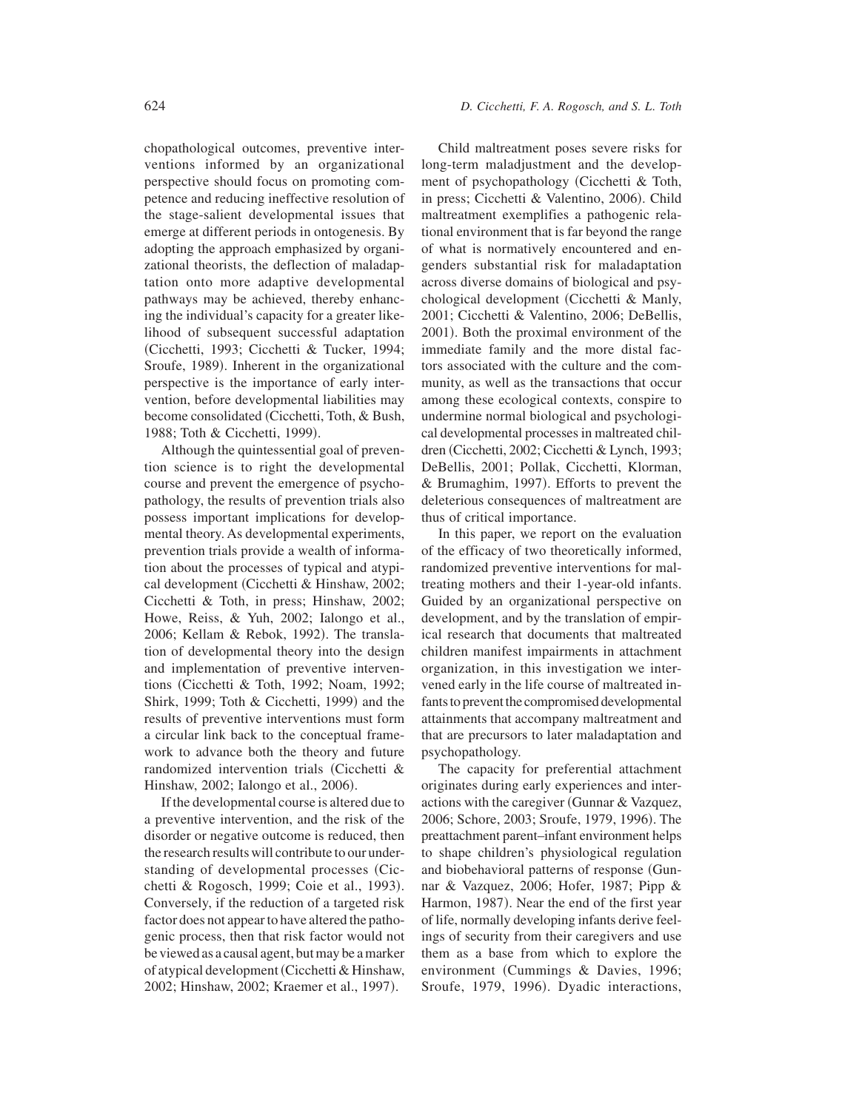chopathological outcomes, preventive interventions informed by an organizational perspective should focus on promoting competence and reducing ineffective resolution of the stage-salient developmental issues that emerge at different periods in ontogenesis. By adopting the approach emphasized by organizational theorists, the deflection of maladaptation onto more adaptive developmental pathways may be achieved, thereby enhancing the individual's capacity for a greater likelihood of subsequent successful adaptation ~Cicchetti, 1993; Cicchetti & Tucker, 1994; Sroufe, 1989). Inherent in the organizational perspective is the importance of early intervention, before developmental liabilities may become consolidated (Cicchetti, Toth, & Bush, 1988; Toth & Cicchetti, 1999).

Although the quintessential goal of prevention science is to right the developmental course and prevent the emergence of psychopathology, the results of prevention trials also possess important implications for developmental theory. As developmental experiments, prevention trials provide a wealth of information about the processes of typical and atypical development (Cicchetti & Hinshaw, 2002; Cicchetti & Toth, in press; Hinshaw, 2002; Howe, Reiss, & Yuh, 2002; Ialongo et al., 2006; Kellam & Rebok, 1992). The translation of developmental theory into the design and implementation of preventive interventions (Cicchetti & Toth, 1992; Noam, 1992; Shirk, 1999; Toth  $& Cicchetti, 1999$  and the results of preventive interventions must form a circular link back to the conceptual framework to advance both the theory and future randomized intervention trials (Cicchetti  $&$ Hinshaw, 2002; Ialongo et al., 2006).

If the developmental course is altered due to a preventive intervention, and the risk of the disorder or negative outcome is reduced, then the research results will contribute to our understanding of developmental processes (Cicchetti & Rogosch, 1999; Coie et al., 1993). Conversely, if the reduction of a targeted risk factor does not appear to have altered the pathogenic process, then that risk factor would not be viewed as a causal agent, but may be a marker of atypical development (Cicchetti & Hinshaw, 2002; Hinshaw, 2002; Kraemer et al., 1997).

Child maltreatment poses severe risks for long-term maladjustment and the development of psychopathology (Cicchetti  $&$  Toth, in press; Cicchetti & Valentino, 2006). Child maltreatment exemplifies a pathogenic relational environment that is far beyond the range of what is normatively encountered and engenders substantial risk for maladaptation across diverse domains of biological and psychological development (Cicchetti  $&$  Manly, 2001; Cicchetti & Valentino, 2006; DeBellis, 2001). Both the proximal environment of the immediate family and the more distal factors associated with the culture and the community, as well as the transactions that occur among these ecological contexts, conspire to undermine normal biological and psychological developmental processes in maltreated children (Cicchetti, 2002; Cicchetti & Lynch, 1993; DeBellis, 2001; Pollak, Cicchetti, Klorman, & Brumaghim, 1997). Efforts to prevent the deleterious consequences of maltreatment are thus of critical importance.

In this paper, we report on the evaluation of the efficacy of two theoretically informed, randomized preventive interventions for maltreating mothers and their 1-year-old infants. Guided by an organizational perspective on development, and by the translation of empirical research that documents that maltreated children manifest impairments in attachment organization, in this investigation we intervened early in the life course of maltreated infants to prevent the compromised developmental attainments that accompany maltreatment and that are precursors to later maladaptation and psychopathology.

The capacity for preferential attachment originates during early experiences and interactions with the caregiver (Gunnar & Vazquez, 2006; Schore, 2003; Sroufe, 1979, 1996). The preattachment parent–infant environment helps to shape children's physiological regulation and biobehavioral patterns of response (Gunnar & Vazquez, 2006; Hofer, 1987; Pipp & Harmon, 1987). Near the end of the first year of life, normally developing infants derive feelings of security from their caregivers and use them as a base from which to explore the environment (Cummings & Davies, 1996; Sroufe, 1979, 1996). Dyadic interactions,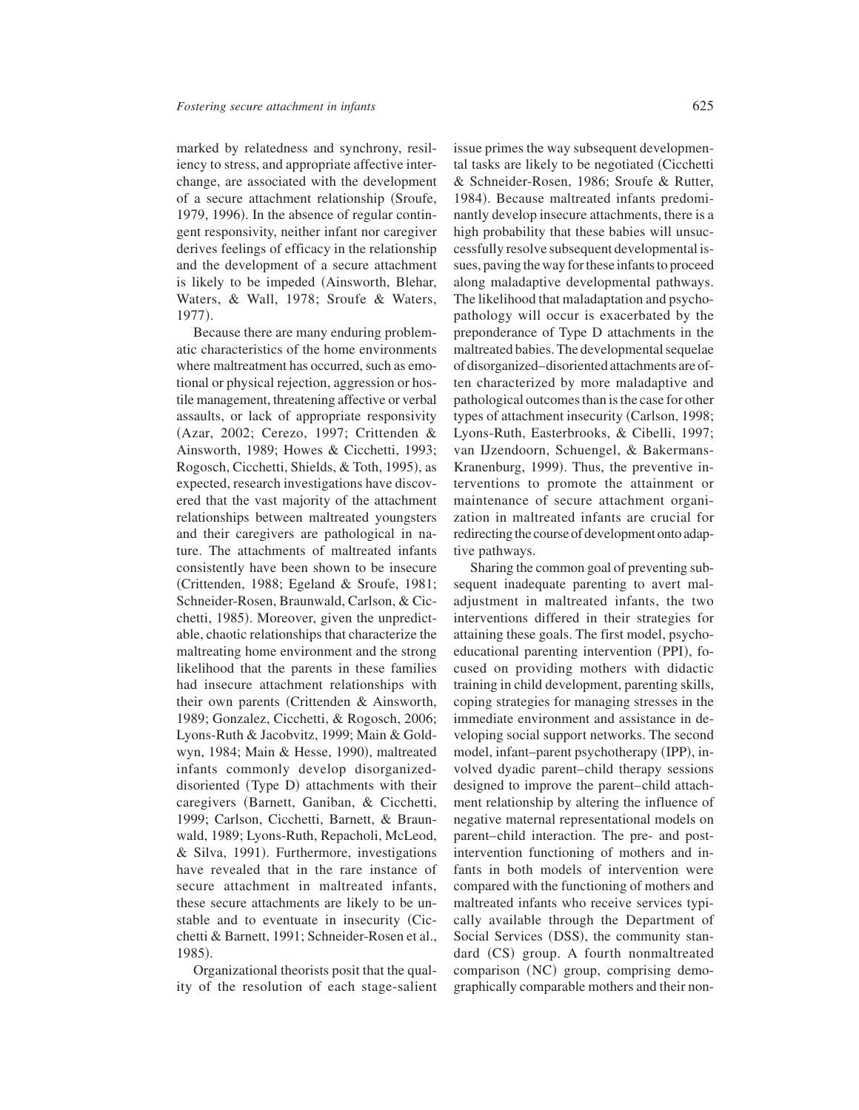marked by relatedness and synchrony, resiliency to stress, and appropriate affective interchange, are associated with the development of a secure attachment relationship (Sroufe, 1979, 1996). In the absence of regular contingent responsivity, neither infant nor caregiver derives feelings of efficacy in the relationship and the development of a secure attachment is likely to be impeded (Ainsworth, Blehar, Waters, & Wall, 1978; Sroufe & Waters, 1977).

Because there are many enduring problematic characteristics of the home environments where maltreatment has occurred, such as emotional or physical rejection, aggression or hostile management, threatening affective or verbal assaults, or lack of appropriate responsivity  $(Azar, 2002; Cerezo, 1997; Crittenden &$ Ainsworth, 1989; Howes & Cicchetti, 1993; Rogosch, Cicchetti, Shields, & Toth, 1995), as expected, research investigations have discovered that the vast majority of the attachment relationships between maltreated youngsters and their caregivers are pathological in nature. The attachments of maltreated infants consistently have been shown to be insecure  $(Crittenden, 1988; Egeland & Sroufe, 1981;$ Schneider-Rosen, Braunwald, Carlson, & Cicchetti, 1985). Moreover, given the unpredictable, chaotic relationships that characterize the maltreating home environment and the strong likelihood that the parents in these families had insecure attachment relationships with their own parents (Crittenden  $&$  Ainsworth, 1989; Gonzalez, Cicchetti, & Rogosch, 2006; Lyons-Ruth & Jacobvitz, 1999; Main & Goldwyn, 1984; Main & Hesse, 1990), maltreated infants commonly develop disorganizeddisoriented (Type D) attachments with their caregivers (Barnett, Ganiban, & Cicchetti, 1999; Carlson, Cicchetti, Barnett, & Braunwald, 1989; Lyons-Ruth, Repacholi, McLeod,  $&$  Silva, 1991). Furthermore, investigations have revealed that in the rare instance of secure attachment in maltreated infants, these secure attachments are likely to be unstable and to eventuate in insecurity (Cicchetti & Barnett, 1991; Schneider-Rosen et al., 1985).

Organizational theorists posit that the quality of the resolution of each stage-salient issue primes the way subsequent developmental tasks are likely to be negotiated (Cicchetti & Schneider-Rosen, 1986; Sroufe & Rutter, 1984). Because maltreated infants predominantly develop insecure attachments, there is a high probability that these babies will unsuccessfully resolve subsequent developmental issues, paving the way for these infants to proceed along maladaptive developmental pathways. The likelihood that maladaptation and psychopathology will occur is exacerbated by the preponderance of Type D attachments in the maltreated babies. The developmental sequelae of disorganized–disoriented attachments are often characterized by more maladaptive and pathological outcomes than is the case for other types of attachment insecurity (Carlson, 1998; Lyons-Ruth, Easterbrooks, & Cibelli, 1997; van IJzendoorn, Schuengel, & Bakermans-Kranenburg, 1999). Thus, the preventive interventions to promote the attainment or maintenance of secure attachment organization in maltreated infants are crucial for redirecting the course of development onto adaptive pathways.

Sharing the common goal of preventing subsequent inadequate parenting to avert maladjustment in maltreated infants, the two interventions differed in their strategies for attaining these goals. The first model, psychoeducational parenting intervention (PPI), focused on providing mothers with didactic training in child development, parenting skills, coping strategies for managing stresses in the immediate environment and assistance in developing social support networks. The second model, infant–parent psychotherapy (IPP), involved dyadic parent–child therapy sessions designed to improve the parent–child attachment relationship by altering the influence of negative maternal representational models on parent–child interaction. The pre- and postintervention functioning of mothers and infants in both models of intervention were compared with the functioning of mothers and maltreated infants who receive services typically available through the Department of Social Services (DSS), the community standard (CS) group. A fourth nonmaltreated comparison (NC) group, comprising demographically comparable mothers and their non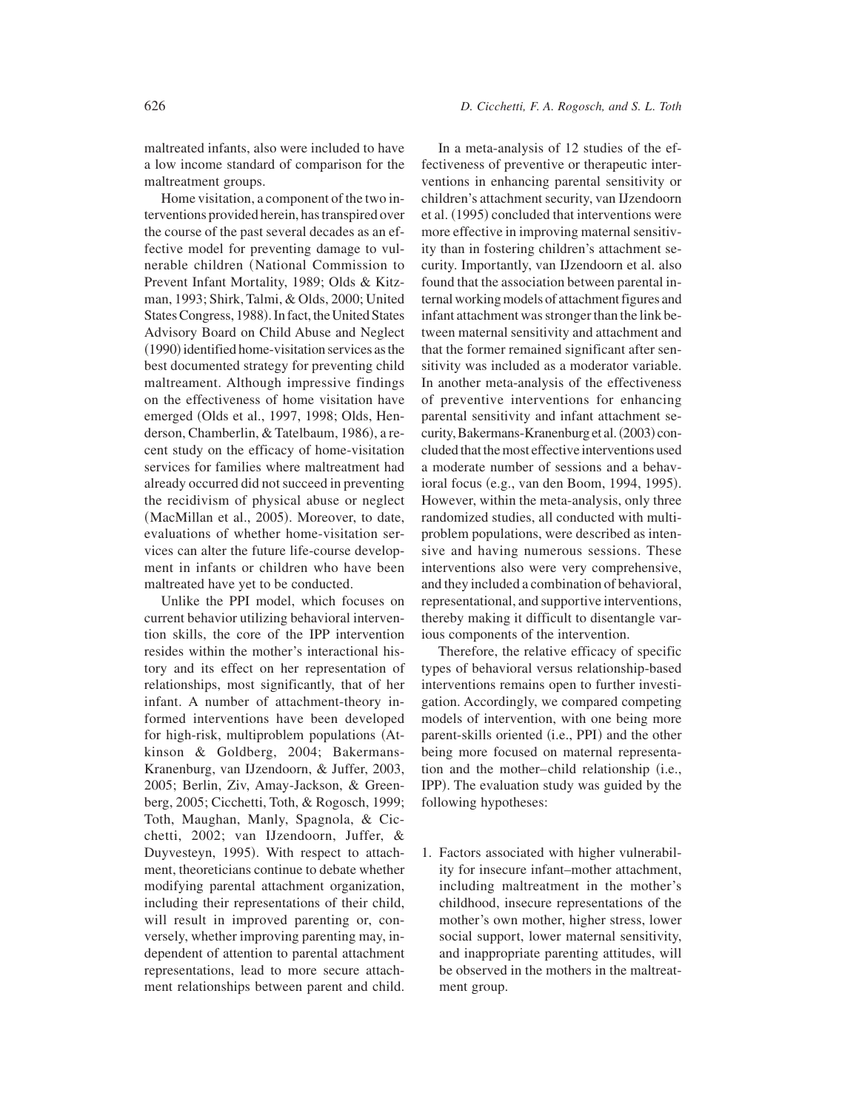maltreated infants, also were included to have a low income standard of comparison for the maltreatment groups.

Home visitation, a component of the two interventions provided herein, has transpired over the course of the past several decades as an effective model for preventing damage to vulnerable children (National Commission to Prevent Infant Mortality, 1989; Olds & Kitzman, 1993; Shirk, Talmi, & Olds, 2000; United States Congress, 1988). In fact, the United States Advisory Board on Child Abuse and Neglect  $(1990)$  identified home-visitation services as the best documented strategy for preventing child maltreament. Although impressive findings on the effectiveness of home visitation have emerged (Olds et al., 1997, 1998; Olds, Henderson, Chamberlin, & Tatelbaum, 1986), a recent study on the efficacy of home-visitation services for families where maltreatment had already occurred did not succeed in preventing the recidivism of physical abuse or neglect  $(MacMillan et al., 2005)$ . Moreover, to date, evaluations of whether home-visitation services can alter the future life-course development in infants or children who have been maltreated have yet to be conducted.

Unlike the PPI model, which focuses on current behavior utilizing behavioral intervention skills, the core of the IPP intervention resides within the mother's interactional history and its effect on her representation of relationships, most significantly, that of her infant. A number of attachment-theory informed interventions have been developed for high-risk, multiproblem populations (Atkinson & Goldberg, 2004; Bakermans-Kranenburg, van IJzendoorn, & Juffer, 2003, 2005; Berlin, Ziv, Amay-Jackson, & Greenberg, 2005; Cicchetti, Toth, & Rogosch, 1999; Toth, Maughan, Manly, Spagnola, & Cicchetti, 2002; van IJzendoorn, Juffer, & Duyvesteyn, 1995). With respect to attachment, theoreticians continue to debate whether modifying parental attachment organization, including their representations of their child, will result in improved parenting or, conversely, whether improving parenting may, independent of attention to parental attachment representations, lead to more secure attachment relationships between parent and child.

In a meta-analysis of 12 studies of the effectiveness of preventive or therapeutic interventions in enhancing parental sensitivity or children's attachment security, van IJzendoorn et al.  $(1995)$  concluded that interventions were more effective in improving maternal sensitivity than in fostering children's attachment security. Importantly, van IJzendoorn et al. also found that the association between parental internal working models of attachment figures and infant attachment was stronger than the link between maternal sensitivity and attachment and that the former remained significant after sensitivity was included as a moderator variable. In another meta-analysis of the effectiveness of preventive interventions for enhancing parental sensitivity and infant attachment security, Bakermans-Kranenburg et al. (2003) concluded that the most effective interventions used a moderate number of sessions and a behavioral focus  $(e.g., van den Boom, 1994, 1995)$ . However, within the meta-analysis, only three randomized studies, all conducted with multiproblem populations, were described as intensive and having numerous sessions. These interventions also were very comprehensive, and they included a combination of behavioral, representational, and supportive interventions, thereby making it difficult to disentangle various components of the intervention.

Therefore, the relative efficacy of specific types of behavioral versus relationship-based interventions remains open to further investigation. Accordingly, we compared competing models of intervention, with one being more parent-skills oriented (i.e., PPI) and the other being more focused on maternal representation and the mother–child relationship (i.e., IPP). The evaluation study was guided by the following hypotheses:

1. Factors associated with higher vulnerability for insecure infant–mother attachment, including maltreatment in the mother's childhood, insecure representations of the mother's own mother, higher stress, lower social support, lower maternal sensitivity, and inappropriate parenting attitudes, will be observed in the mothers in the maltreatment group.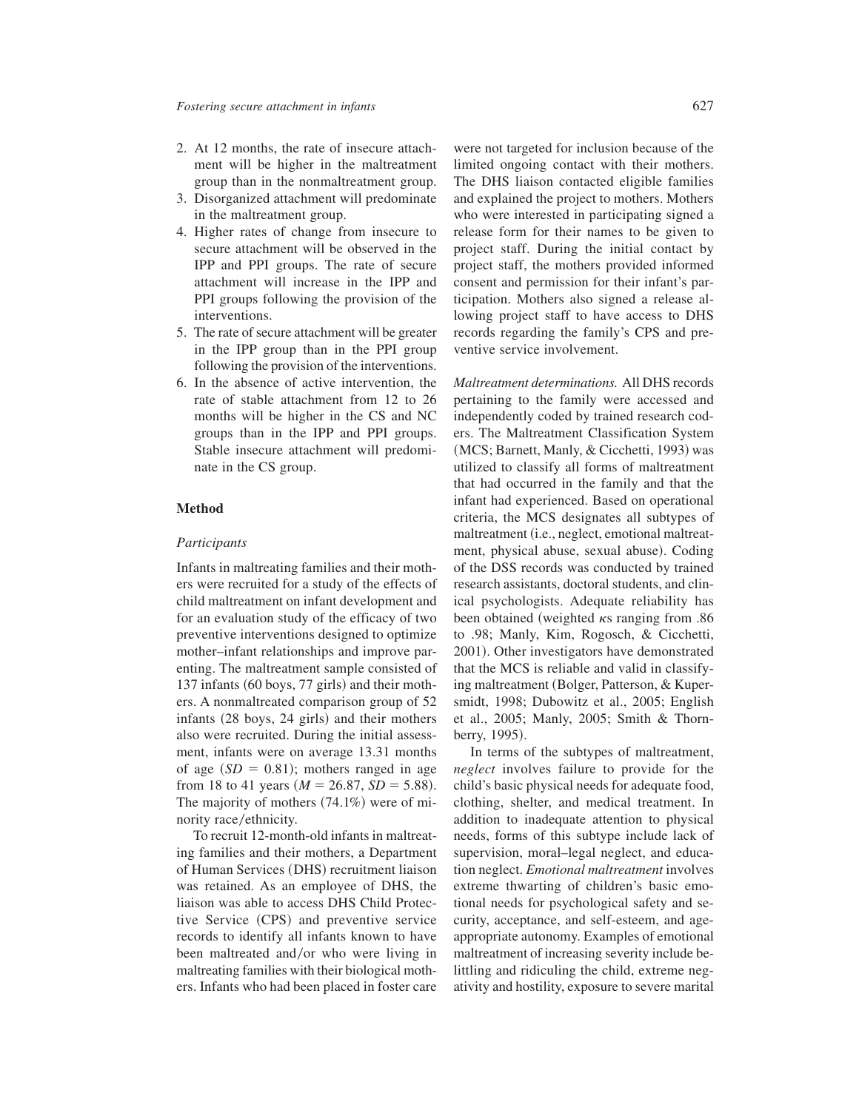- 2. At 12 months, the rate of insecure attachment will be higher in the maltreatment group than in the nonmaltreatment group.
- 3. Disorganized attachment will predominate in the maltreatment group.
- 4. Higher rates of change from insecure to secure attachment will be observed in the IPP and PPI groups. The rate of secure attachment will increase in the IPP and PPI groups following the provision of the interventions.
- 5. The rate of secure attachment will be greater in the IPP group than in the PPI group following the provision of the interventions.
- 6. In the absence of active intervention, the rate of stable attachment from 12 to 26 months will be higher in the CS and NC groups than in the IPP and PPI groups. Stable insecure attachment will predominate in the CS group.

# **Method**

#### *Participants*

Infants in maltreating families and their mothers were recruited for a study of the effects of child maltreatment on infant development and for an evaluation study of the efficacy of two preventive interventions designed to optimize mother–infant relationships and improve parenting. The maltreatment sample consisted of  $137$  infants  $(60$  boys,  $77$  girls) and their mothers. A nonmaltreated comparison group of 52  $infants$   $(28 \text{ boys}, 24 \text{ girls})$  and their mothers also were recruited. During the initial assessment, infants were on average 13.31 months of age  $(SD = 0.81)$ ; mothers ranged in age from 18 to 41 years  $(M = 26.87, SD = 5.88)$ . The majority of mothers  $(74.1%)$  were of minority race/ethnicity.

To recruit 12-month-old infants in maltreating families and their mothers, a Department of Human Services (DHS) recruitment liaison was retained. As an employee of DHS, the liaison was able to access DHS Child Protective Service (CPS) and preventive service records to identify all infants known to have been maltreated and/or who were living in maltreating families with their biological mothers. Infants who had been placed in foster care were not targeted for inclusion because of the limited ongoing contact with their mothers. The DHS liaison contacted eligible families and explained the project to mothers. Mothers who were interested in participating signed a release form for their names to be given to project staff. During the initial contact by project staff, the mothers provided informed consent and permission for their infant's participation. Mothers also signed a release allowing project staff to have access to DHS records regarding the family's CPS and preventive service involvement.

*Maltreatment determinations.* All DHS records pertaining to the family were accessed and independently coded by trained research coders. The Maltreatment Classification System (MCS; Barnett, Manly, & Cicchetti, 1993) was utilized to classify all forms of maltreatment that had occurred in the family and that the infant had experienced. Based on operational criteria, the MCS designates all subtypes of maltreatment (*i.e.*, neglect, emotional maltreatment, physical abuse, sexual abuse). Coding of the DSS records was conducted by trained research assistants, doctoral students, and clinical psychologists. Adequate reliability has been obtained (weighted  $\kappa s$  ranging from .86 to .98; Manly, Kim, Rogosch, & Cicchetti, 2001). Other investigators have demonstrated that the MCS is reliable and valid in classifying maltreatment (Bolger, Patterson, & Kupersmidt, 1998; Dubowitz et al., 2005; English et al., 2005; Manly, 2005; Smith & Thornberry, 1995).

In terms of the subtypes of maltreatment, *neglect* involves failure to provide for the child's basic physical needs for adequate food, clothing, shelter, and medical treatment. In addition to inadequate attention to physical needs, forms of this subtype include lack of supervision, moral–legal neglect, and education neglect. *Emotional maltreatment* involves extreme thwarting of children's basic emotional needs for psychological safety and security, acceptance, and self-esteem, and ageappropriate autonomy. Examples of emotional maltreatment of increasing severity include belittling and ridiculing the child, extreme negativity and hostility, exposure to severe marital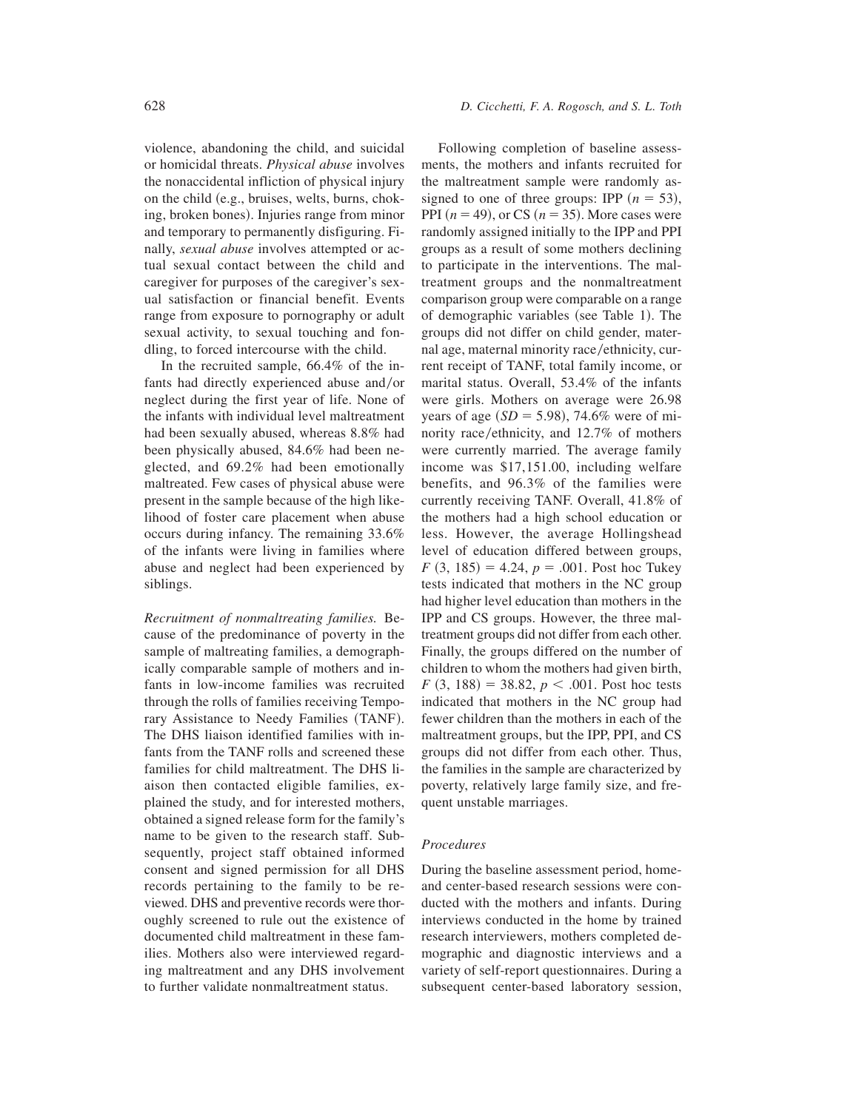violence, abandoning the child, and suicidal or homicidal threats. *Physical abuse* involves the nonaccidental infliction of physical injury on the child (e.g., bruises, welts, burns, choking, broken bones). Injuries range from minor and temporary to permanently disfiguring. Finally, *sexual abuse* involves attempted or actual sexual contact between the child and caregiver for purposes of the caregiver's sexual satisfaction or financial benefit. Events range from exposure to pornography or adult sexual activity, to sexual touching and fondling, to forced intercourse with the child.

In the recruited sample, 66.4% of the infants had directly experienced abuse and/or neglect during the first year of life. None of the infants with individual level maltreatment had been sexually abused, whereas 8.8% had been physically abused, 84.6% had been neglected, and 69.2% had been emotionally maltreated. Few cases of physical abuse were present in the sample because of the high likelihood of foster care placement when abuse occurs during infancy. The remaining 33.6% of the infants were living in families where abuse and neglect had been experienced by siblings.

*Recruitment of nonmaltreating families.* Because of the predominance of poverty in the sample of maltreating families, a demographically comparable sample of mothers and infants in low-income families was recruited through the rolls of families receiving Temporary Assistance to Needy Families (TANF). The DHS liaison identified families with infants from the TANF rolls and screened these families for child maltreatment. The DHS liaison then contacted eligible families, explained the study, and for interested mothers, obtained a signed release form for the family's name to be given to the research staff. Subsequently, project staff obtained informed consent and signed permission for all DHS records pertaining to the family to be reviewed. DHS and preventive records were thoroughly screened to rule out the existence of documented child maltreatment in these families. Mothers also were interviewed regarding maltreatment and any DHS involvement to further validate nonmaltreatment status.

Following completion of baseline assessments, the mothers and infants recruited for the maltreatment sample were randomly assigned to one of three groups: IPP  $(n = 53)$ , PPI  $(n = 49)$ , or CS  $(n = 35)$ . More cases were randomly assigned initially to the IPP and PPI groups as a result of some mothers declining to participate in the interventions. The maltreatment groups and the nonmaltreatment comparison group were comparable on a range of demographic variables (see Table 1). The groups did not differ on child gender, maternal age, maternal minority race/ethnicity, current receipt of TANF, total family income, or marital status. Overall, 53.4% of the infants were girls. Mothers on average were 26.98 years of age  $(SD = 5.98)$ , 74.6% were of minority race/ethnicity, and  $12.7\%$  of mothers were currently married. The average family income was \$17,151.00, including welfare benefits, and 96.3% of the families were currently receiving TANF. Overall, 41.8% of the mothers had a high school education or less. However, the average Hollingshead level of education differed between groups,  $F(3, 185) = 4.24, p = .001$ . Post hoc Tukey tests indicated that mothers in the NC group had higher level education than mothers in the IPP and CS groups. However, the three maltreatment groups did not differ from each other. Finally, the groups differed on the number of children to whom the mothers had given birth,  $F(3, 188) = 38.82, p < .001$ . Post hoc tests indicated that mothers in the NC group had fewer children than the mothers in each of the maltreatment groups, but the IPP, PPI, and CS groups did not differ from each other. Thus, the families in the sample are characterized by poverty, relatively large family size, and frequent unstable marriages.

# *Procedures*

During the baseline assessment period, homeand center-based research sessions were conducted with the mothers and infants. During interviews conducted in the home by trained research interviewers, mothers completed demographic and diagnostic interviews and a variety of self-report questionnaires. During a subsequent center-based laboratory session,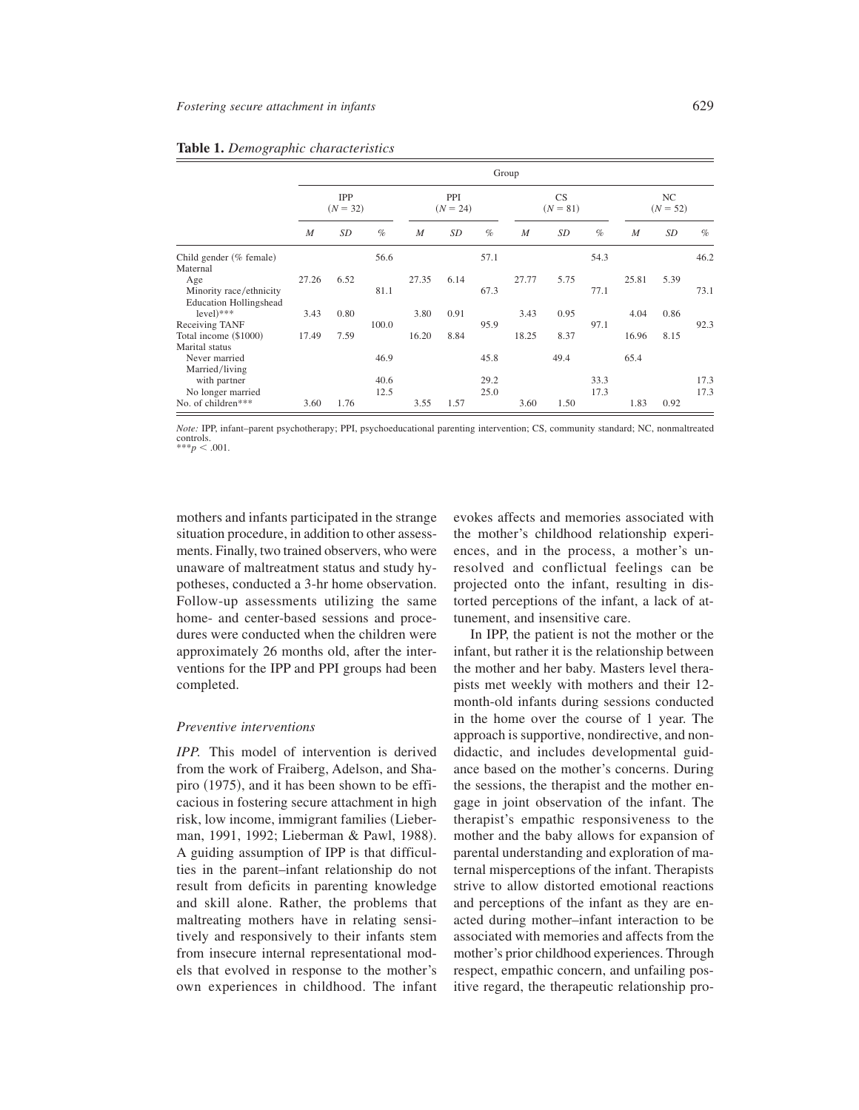|                                                                             | Group                    |      |                   |                |                         |              |                  |                  |              |                  |      |              |
|-----------------------------------------------------------------------------|--------------------------|------|-------------------|----------------|-------------------------|--------------|------------------|------------------|--------------|------------------|------|--------------|
|                                                                             | <b>IPP</b><br>$(N = 32)$ |      | PPI<br>$(N = 24)$ |                | <b>CS</b><br>$(N = 81)$ |              |                  | NC<br>$(N = 52)$ |              |                  |      |              |
|                                                                             | $\boldsymbol{M}$         | SD   | $\%$              | $\overline{M}$ | SD                      | $\%$         | $\boldsymbol{M}$ | SD               | $\%$         | $\boldsymbol{M}$ | SD   | $\%$         |
| Child gender (% female)                                                     |                          |      | 56.6              |                |                         | 57.1         |                  |                  | 54.3         |                  |      | 46.2         |
| Maternal<br>Age<br>Minority race/ethnicity<br><b>Education Hollingshead</b> | 27.26                    | 6.52 | 81.1              | 27.35          | 6.14                    | 67.3         | 27.77            | 5.75             | 77.1         | 25.81            | 5.39 | 73.1         |
| $level)****$<br>Receiving TANF                                              | 3.43                     | 0.80 | 100.0             | 3.80           | 0.91                    | 95.9         | 3.43             | 0.95             | 97.1         | 4.04             | 0.86 | 92.3         |
| Total income (\$1000)<br>Marital status                                     | 17.49                    | 7.59 |                   | 16.20          | 8.84                    |              | 18.25            | 8.37             |              | 16.96            | 8.15 |              |
| Never married<br>Married/living                                             |                          |      | 46.9              |                |                         | 45.8         |                  | 49.4             |              | 65.4             |      |              |
| with partner<br>No longer married                                           |                          |      | 40.6<br>12.5      |                |                         | 29.2<br>25.0 |                  |                  | 33.3<br>17.3 |                  |      | 17.3<br>17.3 |
| No. of children***                                                          | 3.60                     | 1.76 |                   | 3.55           | 1.57                    |              | 3.60             | 1.50             |              | 1.83             | 0.92 |              |

*Note:* IPP, infant–parent psychotherapy; PPI, psychoeducational parenting intervention; CS, community standard; NC, nonmaltreated controls.  $***p < .001$ .

mothers and infants participated in the strange situation procedure, in addition to other assessments. Finally, two trained observers, who were unaware of maltreatment status and study hypotheses, conducted a 3-hr home observation. Follow-up assessments utilizing the same home- and center-based sessions and procedures were conducted when the children were approximately 26 months old, after the interventions for the IPP and PPI groups had been completed.

## *Preventive interventions*

*IPP.* This model of intervention is derived from the work of Fraiberg, Adelson, and Shapiro  $(1975)$ , and it has been shown to be efficacious in fostering secure attachment in high risk, low income, immigrant families (Lieberman, 1991, 1992; Lieberman & Pawl, 1988). A guiding assumption of IPP is that difficulties in the parent–infant relationship do not result from deficits in parenting knowledge and skill alone. Rather, the problems that maltreating mothers have in relating sensitively and responsively to their infants stem from insecure internal representational models that evolved in response to the mother's own experiences in childhood. The infant evokes affects and memories associated with the mother's childhood relationship experiences, and in the process, a mother's unresolved and conflictual feelings can be projected onto the infant, resulting in distorted perceptions of the infant, a lack of attunement, and insensitive care.

In IPP, the patient is not the mother or the infant, but rather it is the relationship between the mother and her baby. Masters level therapists met weekly with mothers and their 12 month-old infants during sessions conducted in the home over the course of 1 year. The approach is supportive, nondirective, and nondidactic, and includes developmental guidance based on the mother's concerns. During the sessions, the therapist and the mother engage in joint observation of the infant. The therapist's empathic responsiveness to the mother and the baby allows for expansion of parental understanding and exploration of maternal misperceptions of the infant. Therapists strive to allow distorted emotional reactions and perceptions of the infant as they are enacted during mother–infant interaction to be associated with memories and affects from the mother's prior childhood experiences. Through respect, empathic concern, and unfailing positive regard, the therapeutic relationship pro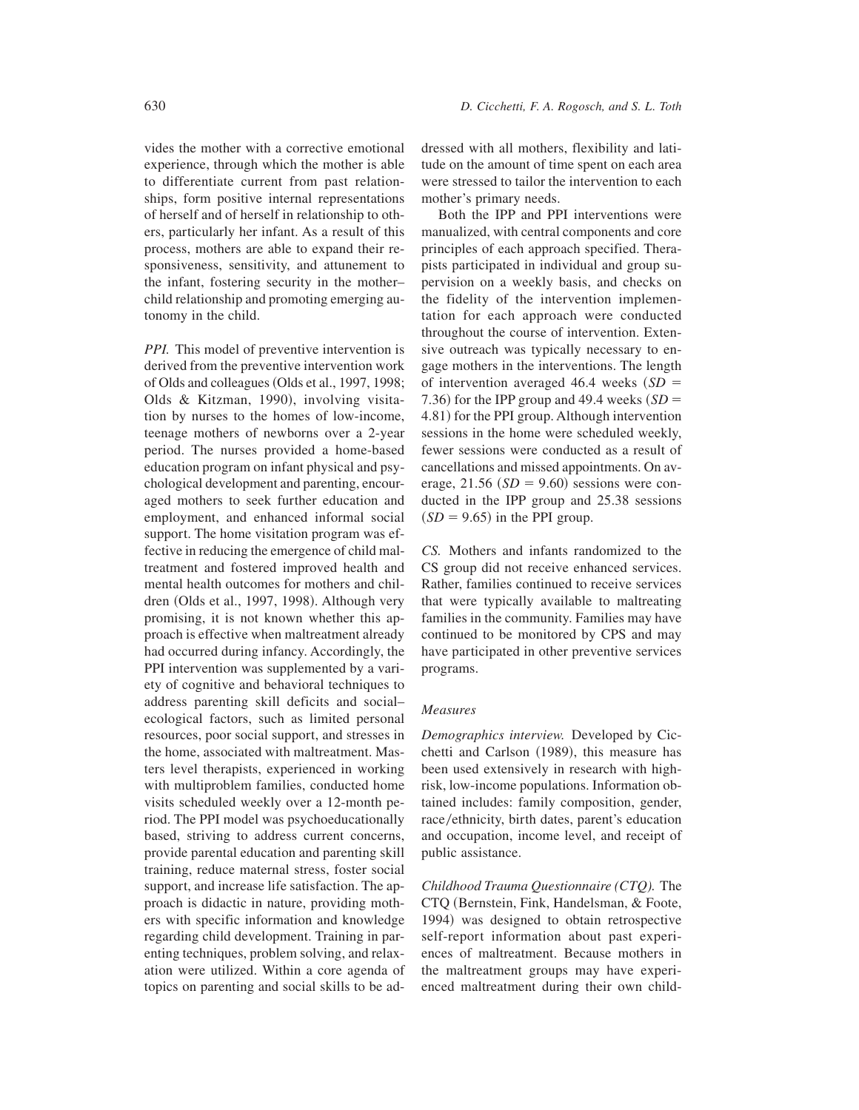vides the mother with a corrective emotional experience, through which the mother is able to differentiate current from past relationships, form positive internal representations of herself and of herself in relationship to others, particularly her infant. As a result of this process, mothers are able to expand their responsiveness, sensitivity, and attunement to the infant, fostering security in the mother– child relationship and promoting emerging autonomy in the child.

*PPI.* This model of preventive intervention is derived from the preventive intervention work of Olds and colleagues (Olds et al., 1997, 1998; Olds & Kitzman, 1990), involving visitation by nurses to the homes of low-income, teenage mothers of newborns over a 2-year period. The nurses provided a home-based education program on infant physical and psychological development and parenting, encouraged mothers to seek further education and employment, and enhanced informal social support. The home visitation program was effective in reducing the emergence of child maltreatment and fostered improved health and mental health outcomes for mothers and children (Olds et al., 1997, 1998). Although very promising, it is not known whether this approach is effective when maltreatment already had occurred during infancy. Accordingly, the PPI intervention was supplemented by a variety of cognitive and behavioral techniques to address parenting skill deficits and social– ecological factors, such as limited personal resources, poor social support, and stresses in the home, associated with maltreatment. Masters level therapists, experienced in working with multiproblem families, conducted home visits scheduled weekly over a 12-month period. The PPI model was psychoeducationally based, striving to address current concerns, provide parental education and parenting skill training, reduce maternal stress, foster social support, and increase life satisfaction. The approach is didactic in nature, providing mothers with specific information and knowledge regarding child development. Training in parenting techniques, problem solving, and relaxation were utilized. Within a core agenda of topics on parenting and social skills to be addressed with all mothers, flexibility and latitude on the amount of time spent on each area were stressed to tailor the intervention to each mother's primary needs.

Both the IPP and PPI interventions were manualized, with central components and core principles of each approach specified. Therapists participated in individual and group supervision on a weekly basis, and checks on the fidelity of the intervention implementation for each approach were conducted throughout the course of intervention. Extensive outreach was typically necessary to engage mothers in the interventions. The length of intervention averaged 46.4 weeks  $(SD =$ 7.36) for the IPP group and 49.4 weeks  $(SD =$ 4.81) for the PPI group. Although intervention sessions in the home were scheduled weekly, fewer sessions were conducted as a result of cancellations and missed appointments. On average,  $21.56$   $(SD = 9.60)$  sessions were conducted in the IPP group and 25.38 sessions  $(SD = 9.65)$  in the PPI group.

*CS.* Mothers and infants randomized to the CS group did not receive enhanced services. Rather, families continued to receive services that were typically available to maltreating families in the community. Families may have continued to be monitored by CPS and may have participated in other preventive services programs.

#### *Measures*

*Demographics interview.* Developed by Cicchetti and Carlson (1989), this measure has been used extensively in research with highrisk, low-income populations. Information obtained includes: family composition, gender, race/ethnicity, birth dates, parent's education and occupation, income level, and receipt of public assistance.

*Childhood Trauma Questionnaire (CTQ).* The CTQ (Bernstein, Fink, Handelsman, & Foote, 1994) was designed to obtain retrospective self-report information about past experiences of maltreatment. Because mothers in the maltreatment groups may have experienced maltreatment during their own child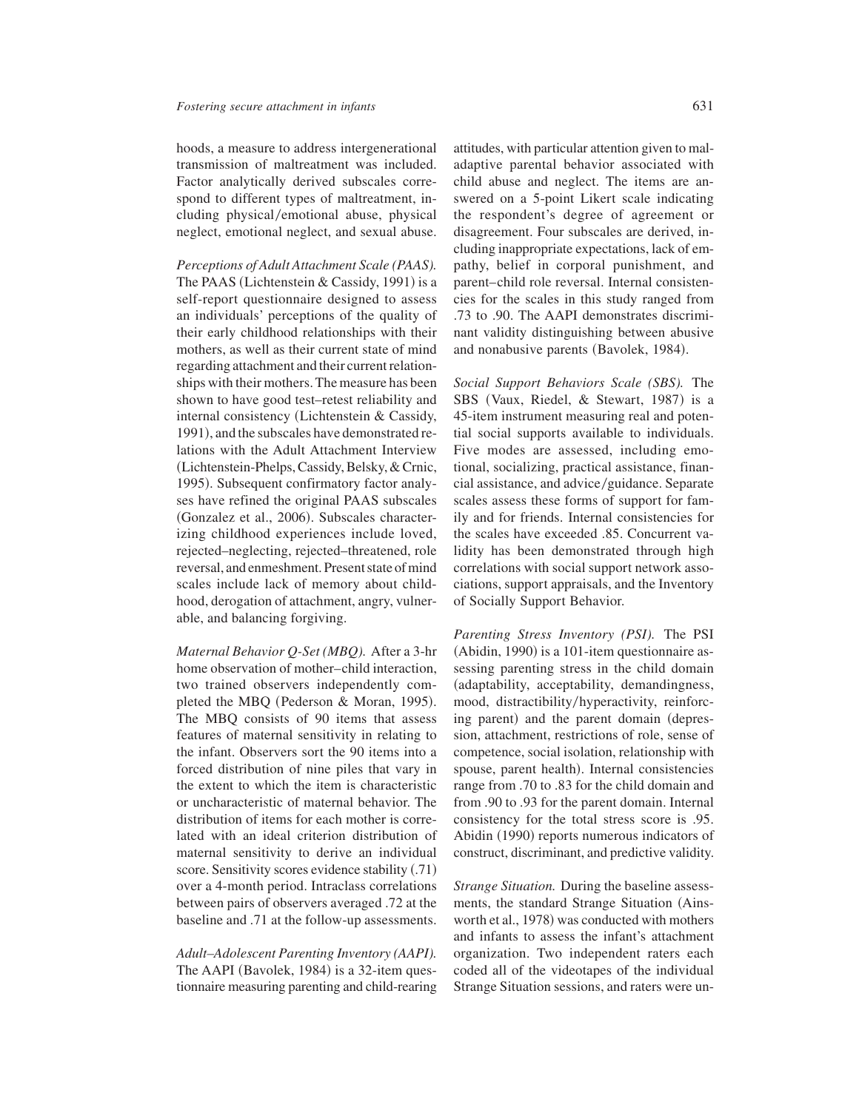hoods, a measure to address intergenerational transmission of maltreatment was included. Factor analytically derived subscales correspond to different types of maltreatment, including physical/emotional abuse, physical neglect, emotional neglect, and sexual abuse.

*Perceptions of Adult Attachment Scale (PAAS).* The PAAS (Lichtenstein  $& Cassidy, 1991$ ) is a self-report questionnaire designed to assess an individuals' perceptions of the quality of their early childhood relationships with their mothers, as well as their current state of mind regarding attachment and their current relationships with their mothers. The measure has been shown to have good test–retest reliability and internal consistency (Lichtenstein & Cassidy, 1991), and the subscales have demonstrated relations with the Adult Attachment Interview ~Lichtenstein-Phelps, Cassidy, Belsky, & Crnic, 1995). Subsequent confirmatory factor analyses have refined the original PAAS subscales (Gonzalez et al., 2006). Subscales characterizing childhood experiences include loved, rejected–neglecting, rejected–threatened, role reversal, and enmeshment. Present state of mind scales include lack of memory about childhood, derogation of attachment, angry, vulnerable, and balancing forgiving.

*Maternal Behavior Q-Set (MBQ).* After a 3-hr home observation of mother–child interaction, two trained observers independently completed the MBQ (Pederson  $& Moran, 1995$ ). The MBQ consists of 90 items that assess features of maternal sensitivity in relating to the infant. Observers sort the 90 items into a forced distribution of nine piles that vary in the extent to which the item is characteristic or uncharacteristic of maternal behavior. The distribution of items for each mother is correlated with an ideal criterion distribution of maternal sensitivity to derive an individual score. Sensitivity scores evidence stability  $(.71)$ over a 4-month period. Intraclass correlations between pairs of observers averaged .72 at the baseline and .71 at the follow-up assessments.

*Adult–Adolescent Parenting Inventory (AAPI).* The AAPI (Bavolek, 1984) is a 32-item questionnaire measuring parenting and child-rearing attitudes, with particular attention given to maladaptive parental behavior associated with child abuse and neglect. The items are answered on a 5-point Likert scale indicating the respondent's degree of agreement or disagreement. Four subscales are derived, including inappropriate expectations, lack of empathy, belief in corporal punishment, and parent–child role reversal. Internal consistencies for the scales in this study ranged from .73 to .90. The AAPI demonstrates discriminant validity distinguishing between abusive and nonabusive parents (Bavolek, 1984).

*Social Support Behaviors Scale (SBS).* The SBS (Vaux, Riedel, & Stewart, 1987) is a 45-item instrument measuring real and potential social supports available to individuals. Five modes are assessed, including emotional, socializing, practical assistance, financial assistance, and advice/guidance. Separate scales assess these forms of support for family and for friends. Internal consistencies for the scales have exceeded .85. Concurrent validity has been demonstrated through high correlations with social support network associations, support appraisals, and the Inventory of Socially Support Behavior.

*Parenting Stress Inventory (PSI).* The PSI  $(Abidin, 1990)$  is a 101-item questionnaire assessing parenting stress in the child domain (adaptability, acceptability, demandingness, mood, distractibility/hyperactivity, reinforcing parent) and the parent domain (depression, attachment, restrictions of role, sense of competence, social isolation, relationship with spouse, parent health). Internal consistencies range from .70 to .83 for the child domain and from .90 to .93 for the parent domain. Internal consistency for the total stress score is .95. Abidin (1990) reports numerous indicators of construct, discriminant, and predictive validity.

*Strange Situation.* During the baseline assessments, the standard Strange Situation (Ainsworth et al., 1978) was conducted with mothers and infants to assess the infant's attachment organization. Two independent raters each coded all of the videotapes of the individual Strange Situation sessions, and raters were un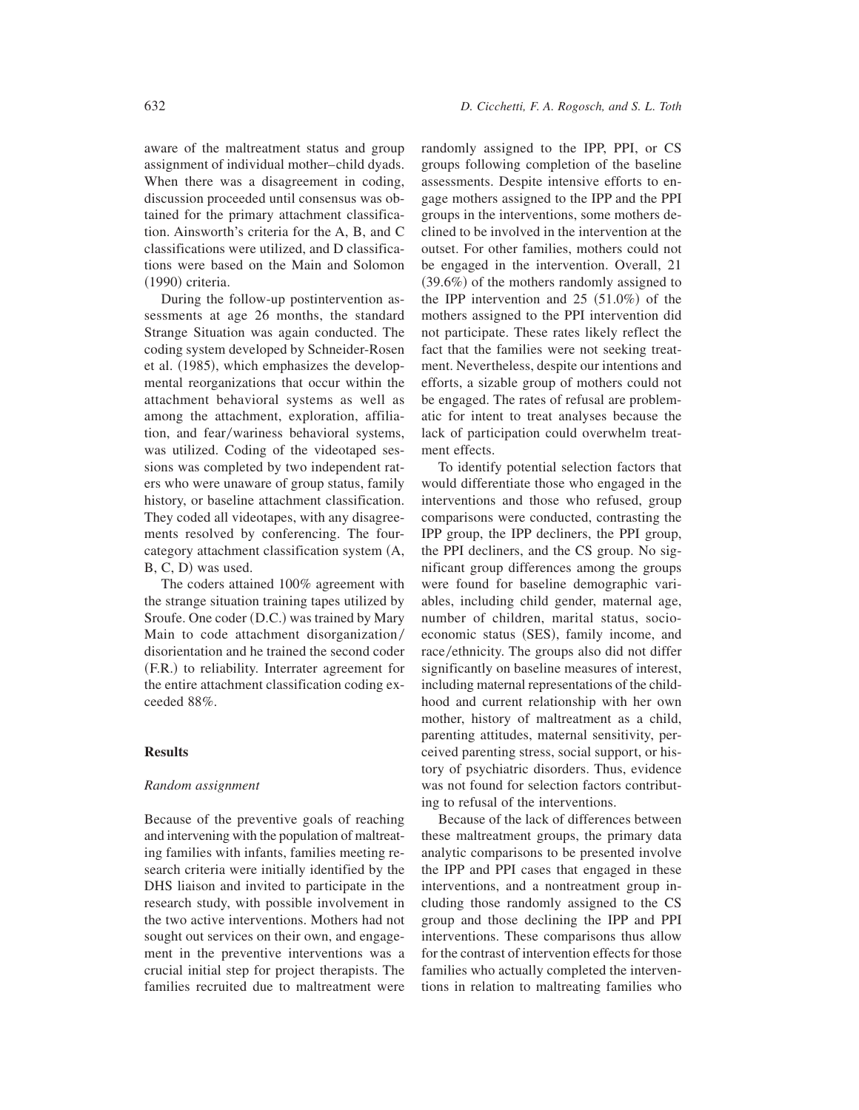aware of the maltreatment status and group assignment of individual mother–child dyads. When there was a disagreement in coding, discussion proceeded until consensus was obtained for the primary attachment classification. Ainsworth's criteria for the A, B, and C classifications were utilized, and D classifications were based on the Main and Solomon  $(1990)$  criteria.

During the follow-up postintervention assessments at age 26 months, the standard Strange Situation was again conducted. The coding system developed by Schneider-Rosen et al.  $(1985)$ , which emphasizes the developmental reorganizations that occur within the attachment behavioral systems as well as among the attachment, exploration, affiliation, and fear/wariness behavioral systems, was utilized. Coding of the videotaped sessions was completed by two independent raters who were unaware of group status, family history, or baseline attachment classification. They coded all videotapes, with any disagreements resolved by conferencing. The fourcategory attachment classification system (A, B, C, D) was used.

The coders attained 100% agreement with the strange situation training tapes utilized by Sroufe. One coder (D.C.) was trained by Mary Main to code attachment disorganization/ disorientation and he trained the second coder  $(F.R.)$  to reliability. Interrater agreement for the entire attachment classification coding exceeded 88%.

## **Results**

#### *Random assignment*

Because of the preventive goals of reaching and intervening with the population of maltreating families with infants, families meeting research criteria were initially identified by the DHS liaison and invited to participate in the research study, with possible involvement in the two active interventions. Mothers had not sought out services on their own, and engagement in the preventive interventions was a crucial initial step for project therapists. The families recruited due to maltreatment were

randomly assigned to the IPP, PPI, or CS groups following completion of the baseline assessments. Despite intensive efforts to engage mothers assigned to the IPP and the PPI groups in the interventions, some mothers declined to be involved in the intervention at the outset. For other families, mothers could not be engaged in the intervention. Overall, 21  $(39.6%)$  of the mothers randomly assigned to the IPP intervention and  $25~(51.0%)$  of the mothers assigned to the PPI intervention did not participate. These rates likely reflect the fact that the families were not seeking treatment. Nevertheless, despite our intentions and efforts, a sizable group of mothers could not be engaged. The rates of refusal are problematic for intent to treat analyses because the lack of participation could overwhelm treatment effects.

To identify potential selection factors that would differentiate those who engaged in the interventions and those who refused, group comparisons were conducted, contrasting the IPP group, the IPP decliners, the PPI group, the PPI decliners, and the CS group. No significant group differences among the groups were found for baseline demographic variables, including child gender, maternal age, number of children, marital status, socioeconomic status (SES), family income, and race/ethnicity. The groups also did not differ significantly on baseline measures of interest, including maternal representations of the childhood and current relationship with her own mother, history of maltreatment as a child, parenting attitudes, maternal sensitivity, perceived parenting stress, social support, or history of psychiatric disorders. Thus, evidence was not found for selection factors contributing to refusal of the interventions.

Because of the lack of differences between these maltreatment groups, the primary data analytic comparisons to be presented involve the IPP and PPI cases that engaged in these interventions, and a nontreatment group including those randomly assigned to the CS group and those declining the IPP and PPI interventions. These comparisons thus allow for the contrast of intervention effects for those families who actually completed the interventions in relation to maltreating families who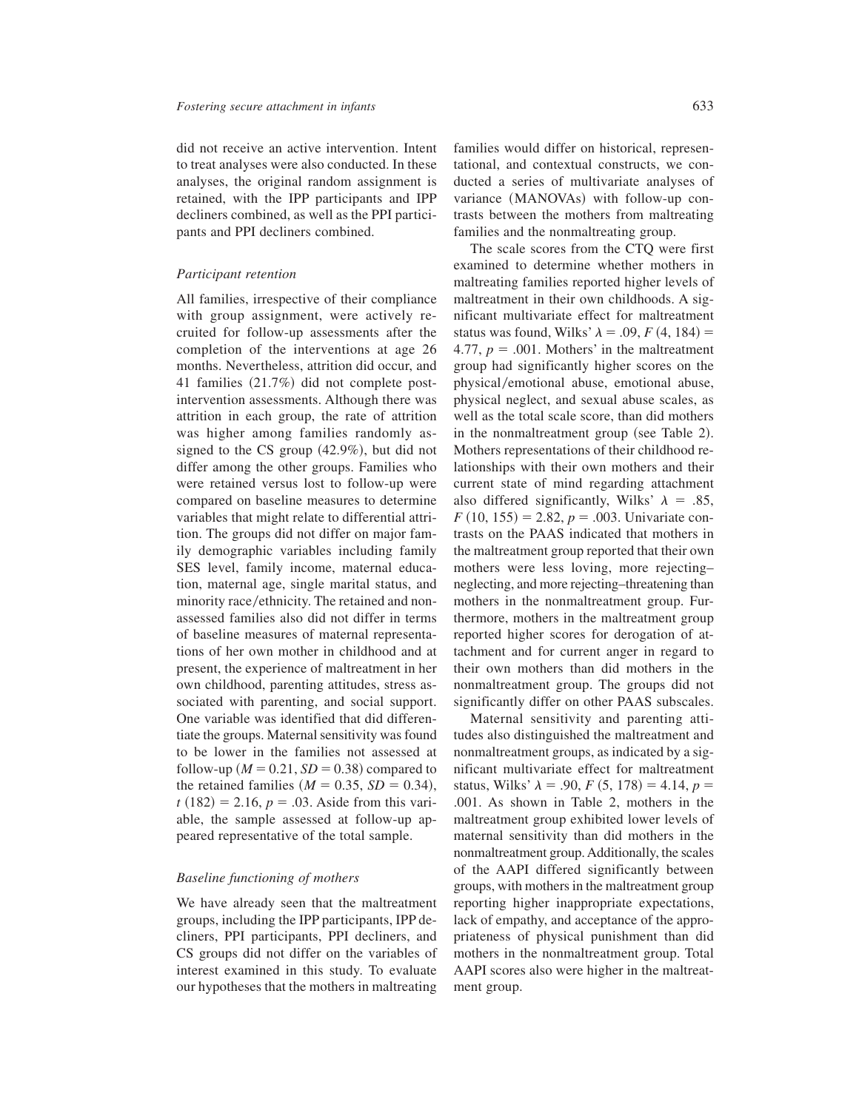did not receive an active intervention. Intent to treat analyses were also conducted. In these analyses, the original random assignment is retained, with the IPP participants and IPP decliners combined, as well as the PPI participants and PPI decliners combined.

#### *Participant retention*

All families, irrespective of their compliance with group assignment, were actively recruited for follow-up assessments after the completion of the interventions at age 26 months. Nevertheless, attrition did occur, and 41 families  $(21.7%)$  did not complete postintervention assessments. Although there was attrition in each group, the rate of attrition was higher among families randomly assigned to the CS group  $(42.9\%)$ , but did not differ among the other groups. Families who were retained versus lost to follow-up were compared on baseline measures to determine variables that might relate to differential attrition. The groups did not differ on major family demographic variables including family SES level, family income, maternal education, maternal age, single marital status, and minority race/ethnicity. The retained and nonassessed families also did not differ in terms of baseline measures of maternal representations of her own mother in childhood and at present, the experience of maltreatment in her own childhood, parenting attitudes, stress associated with parenting, and social support. One variable was identified that did differentiate the groups. Maternal sensitivity was found to be lower in the families not assessed at follow-up  $(M = 0.21, SD = 0.38)$  compared to the retained families  $(M = 0.35, SD = 0.34)$ ,  $t(182) = 2.16$ ,  $p = .03$ . Aside from this variable, the sample assessed at follow-up appeared representative of the total sample.

#### *Baseline functioning of mothers*

We have already seen that the maltreatment groups, including the IPP participants, IPP decliners, PPI participants, PPI decliners, and CS groups did not differ on the variables of interest examined in this study. To evaluate our hypotheses that the mothers in maltreating families would differ on historical, representational, and contextual constructs, we conducted a series of multivariate analyses of variance (MANOVAs) with follow-up contrasts between the mothers from maltreating families and the nonmaltreating group.

The scale scores from the CTQ were first examined to determine whether mothers in maltreating families reported higher levels of maltreatment in their own childhoods. A significant multivariate effect for maltreatment status was found, Wilks'  $\lambda = .09$ , *F* (4, 184) = 4.77,  $p = .001$ . Mothers' in the maltreatment group had significantly higher scores on the physical/emotional abuse, emotional abuse, physical neglect, and sexual abuse scales, as well as the total scale score, than did mothers in the nonmaltreatment group (see Table 2). Mothers representations of their childhood relationships with their own mothers and their current state of mind regarding attachment also differed significantly, Wilks'  $\lambda = .85$ ,  $F(10, 155) = 2.82, p = .003$ . Univariate contrasts on the PAAS indicated that mothers in the maltreatment group reported that their own mothers were less loving, more rejecting– neglecting, and more rejecting–threatening than mothers in the nonmaltreatment group. Furthermore, mothers in the maltreatment group reported higher scores for derogation of attachment and for current anger in regard to their own mothers than did mothers in the nonmaltreatment group. The groups did not significantly differ on other PAAS subscales.

Maternal sensitivity and parenting attitudes also distinguished the maltreatment and nonmaltreatment groups, as indicated by a significant multivariate effect for maltreatment status, Wilks'  $\lambda = .90, F(5, 178) = 4.14, p =$ .001. As shown in Table 2, mothers in the maltreatment group exhibited lower levels of maternal sensitivity than did mothers in the nonmaltreatment group. Additionally, the scales of the AAPI differed significantly between groups, with mothers in the maltreatment group reporting higher inappropriate expectations, lack of empathy, and acceptance of the appropriateness of physical punishment than did mothers in the nonmaltreatment group. Total AAPI scores also were higher in the maltreatment group.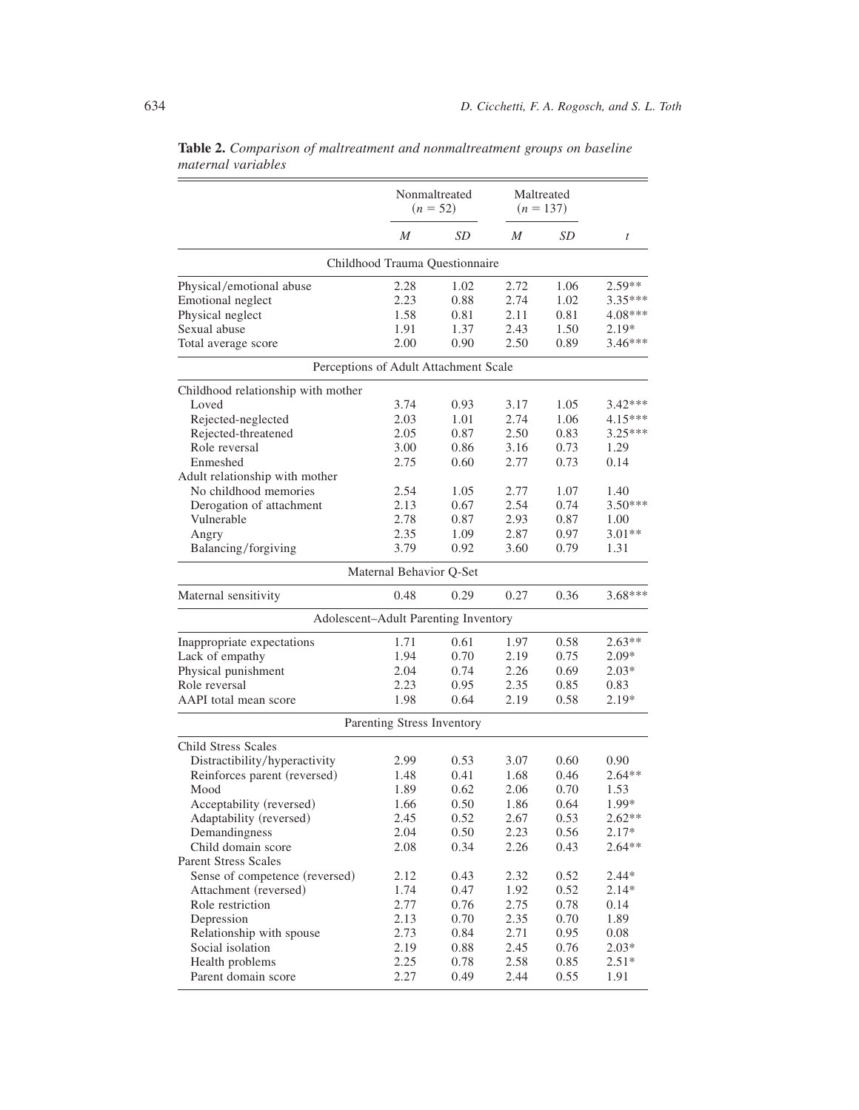|                                       |                                | Nonmaltreated<br>$(n = 52)$ |      | Maltreated<br>$(n = 137)$ |           |  |
|---------------------------------------|--------------------------------|-----------------------------|------|---------------------------|-----------|--|
|                                       | M                              | <i>SD</i>                   | M    | SD                        | t         |  |
|                                       | Childhood Trauma Questionnaire |                             |      |                           |           |  |
| Physical/emotional abuse              | 2.28                           | 1.02                        | 2.72 | 1.06                      | $2.59**$  |  |
| Emotional neglect                     | 2.23                           | 0.88                        | 2.74 | 1.02                      | 3.35***   |  |
| Physical neglect                      | 1.58                           | 0.81                        | 2.11 | 0.81                      | 4.08***   |  |
| Sexual abuse                          | 1.91                           | 1.37                        | 2.43 | 1.50                      | $2.19*$   |  |
| Total average score                   | 2.00                           | 0.90                        | 2.50 | 0.89                      | $3.46***$ |  |
| Perceptions of Adult Attachment Scale |                                |                             |      |                           |           |  |
| Childhood relationship with mother    |                                |                             |      |                           |           |  |
| Loved                                 | 3.74                           | 0.93                        | 3.17 | 1.05                      | $3.42***$ |  |
| Rejected-neglected                    | 2.03                           | 1.01                        | 2.74 | 1.06                      | 4.15***   |  |
| Rejected-threatened                   | 2.05                           | 0.87                        | 2.50 | 0.83                      | $3.25***$ |  |
| Role reversal                         | 3.00                           | 0.86                        | 3.16 | 0.73                      | 1.29      |  |
| Enmeshed                              | 2.75                           | 0.60                        | 2.77 | 0.73                      | 0.14      |  |
| Adult relationship with mother        |                                |                             |      |                           |           |  |
| No childhood memories                 | 2.54                           | 1.05                        | 2.77 | 1.07                      | 1.40      |  |
| Derogation of attachment              | 2.13                           | 0.67                        | 2.54 | 0.74                      | $3.50***$ |  |
| Vulnerable                            | 2.78                           | 0.87                        | 2.93 | 0.87                      | 1.00      |  |
| Angry                                 | 2.35                           | 1.09                        | 2.87 | 0.97                      | $3.01**$  |  |
| Balancing/forgiving                   | 3.79                           | 0.92                        | 3.60 | 0.79                      | 1.31      |  |
|                                       | Maternal Behavior Q-Set        |                             |      |                           |           |  |
| Maternal sensitivity                  | 0.48                           | 0.29                        | 0.27 | 0.36                      | $3.68***$ |  |
| Adolescent-Adult Parenting Inventory  |                                |                             |      |                           |           |  |
| Inappropriate expectations            | 1.71                           | 0.61                        | 1.97 | 0.58                      | $2.63**$  |  |
| Lack of empathy                       | 1.94                           | 0.70                        | 2.19 | 0.75                      | $2.09*$   |  |
| Physical punishment                   | 2.04                           | 0.74                        | 2.26 | 0.69                      | $2.03*$   |  |
| Role reversal                         | 2.23                           | 0.95                        | 2.35 | 0.85                      | 0.83      |  |
| AAPI total mean score                 | 1.98                           | 0.64                        | 2.19 | 0.58                      | $2.19*$   |  |
|                                       | Parenting Stress Inventory     |                             |      |                           |           |  |
| <b>Child Stress Scales</b>            |                                |                             |      |                           |           |  |
| Distractibility/hyperactivity         | 2.99                           | 0.53                        | 3.07 | 0.60                      | 0.90      |  |
| Reinforces parent (reversed)          | 1.48                           | 0.41                        | 1.68 | 0.46                      | $2.64**$  |  |
| Mood                                  | 1.89                           | 0.62                        | 2.06 | 0.70                      | 1.53      |  |
| Acceptability (reversed)              | 1.66                           | 0.50                        | 1.86 | 0.64                      | 1.99*     |  |
| Adaptability (reversed)               | 2.45                           | 0.52                        | 2.67 | 0.53                      | $2.62**$  |  |
| Demandingness                         | 2.04                           | 0.50                        | 2.23 | 0.56                      | 2.17*     |  |
| Child domain score                    | 2.08                           | 0.34                        | 2.26 | 0.43                      | $2.64**$  |  |
| <b>Parent Stress Scales</b>           |                                |                             |      |                           |           |  |
| Sense of competence (reversed)        | 2.12                           | 0.43                        | 2.32 | 0.52                      | $2.44*$   |  |
| Attachment (reversed)                 | 1.74                           | 0.47                        | 1.92 | 0.52                      | $2.14*$   |  |
| Role restriction                      | 2.77                           | 0.76                        | 2.75 | 0.78                      | 0.14      |  |
| Depression                            | 2.13                           | 0.70                        | 2.35 | 0.70                      | 1.89      |  |
| Relationship with spouse              | 2.73                           | 0.84                        | 2.71 | 0.95                      | 0.08      |  |
| Social isolation                      | 2.19                           | 0.88                        | 2.45 | 0.76                      | $2.03*$   |  |
| Health problems                       | 2.25                           | 0.78                        | 2.58 | 0.85                      | $2.51*$   |  |
| Parent domain score                   | 2.27                           | 0.49                        | 2.44 | 0.55                      | 1.91      |  |

**Table 2.** *Comparison of maltreatment and nonmaltreatment groups on baseline maternal variables*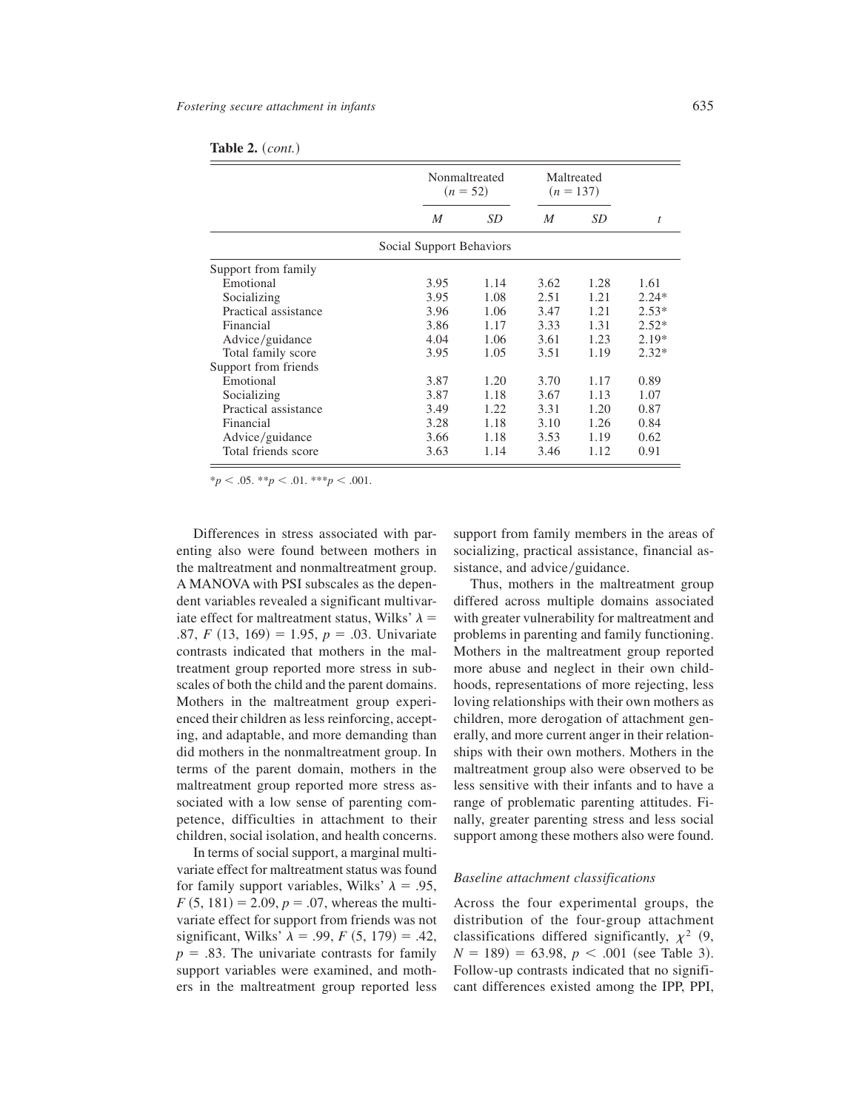|                      |                          | Nonmaltreated<br>$(n = 52)$ |      | Maltreated<br>$(n = 137)$ |         |
|----------------------|--------------------------|-----------------------------|------|---------------------------|---------|
|                      | M                        | SD                          | M    | SD                        | t       |
|                      | Social Support Behaviors |                             |      |                           |         |
| Support from family  |                          |                             |      |                           |         |
| Emotional            | 3.95                     | 1.14                        | 3.62 | 1.28                      | 1.61    |
| Socializing          | 3.95                     | 1.08                        | 2.51 | 1.21                      | $2.24*$ |
| Practical assistance | 3.96                     | 1.06                        | 3.47 | 1.21                      | $2.53*$ |
| Financial            | 3.86                     | 1.17                        | 3.33 | 1.31                      | $2.52*$ |
| Advice/guidance      | 4.04                     | 1.06                        | 3.61 | 1.23                      | $2.19*$ |
| Total family score   | 3.95                     | 1.05                        | 3.51 | 1.19                      | $2.32*$ |
| Support from friends |                          |                             |      |                           |         |
| Emotional            | 3.87                     | 1.20                        | 3.70 | 1.17                      | 0.89    |
| Socializing          | 3.87                     | 1.18                        | 3.67 | 1.13                      | 1.07    |
| Practical assistance | 3.49                     | 1.22                        | 3.31 | 1.20                      | 0.87    |
| Financial            | 3.28                     | 1.18                        | 3.10 | 1.26                      | 0.84    |
| Advice/guidance      | 3.66                     | 1.18                        | 3.53 | 1.19                      | 0.62    |
| Total friends score  | 3.63                     | 1.14                        | 3.46 | 1.12                      | 0.91    |

## **Table 2.** *(cont.)*

 $*_{p}$  < .05.  $*_{p}$  < .01.  $*_{p}$  < .001.

Differences in stress associated with parenting also were found between mothers in the maltreatment and nonmaltreatment group. A MANOVA with PSI subscales as the dependent variables revealed a significant multivariate effect for maltreatment status, Wilks'  $\lambda$  = .87, *F* (13, 169) = 1.95, *p* = .03. Univariate contrasts indicated that mothers in the maltreatment group reported more stress in subscales of both the child and the parent domains. Mothers in the maltreatment group experienced their children as less reinforcing, accepting, and adaptable, and more demanding than did mothers in the nonmaltreatment group. In terms of the parent domain, mothers in the maltreatment group reported more stress associated with a low sense of parenting competence, difficulties in attachment to their children, social isolation, and health concerns.

In terms of social support, a marginal multivariate effect for maltreatment status was found for family support variables, Wilks'  $\lambda = .95$ ,  $F(5, 181) = 2.09, p = .07$ , whereas the multivariate effect for support from friends was not significant, Wilks'  $\lambda = .99$ , *F*  $(5, 179) = .42$ ,  $p = .83$ . The univariate contrasts for family support variables were examined, and mothers in the maltreatment group reported less

support from family members in the areas of socializing, practical assistance, financial assistance, and advice/guidance.

Thus, mothers in the maltreatment group differed across multiple domains associated with greater vulnerability for maltreatment and problems in parenting and family functioning. Mothers in the maltreatment group reported more abuse and neglect in their own childhoods, representations of more rejecting, less loving relationships with their own mothers as children, more derogation of attachment generally, and more current anger in their relationships with their own mothers. Mothers in the maltreatment group also were observed to be less sensitive with their infants and to have a range of problematic parenting attitudes. Finally, greater parenting stress and less social support among these mothers also were found.

# *Baseline attachment classifications*

Across the four experimental groups, the distribution of the four-group attachment classifications differed significantly,  $\chi^2$  (9,  $N = 189$  = 63.98,  $p < .001$  (see Table 3). Follow-up contrasts indicated that no significant differences existed among the IPP, PPI,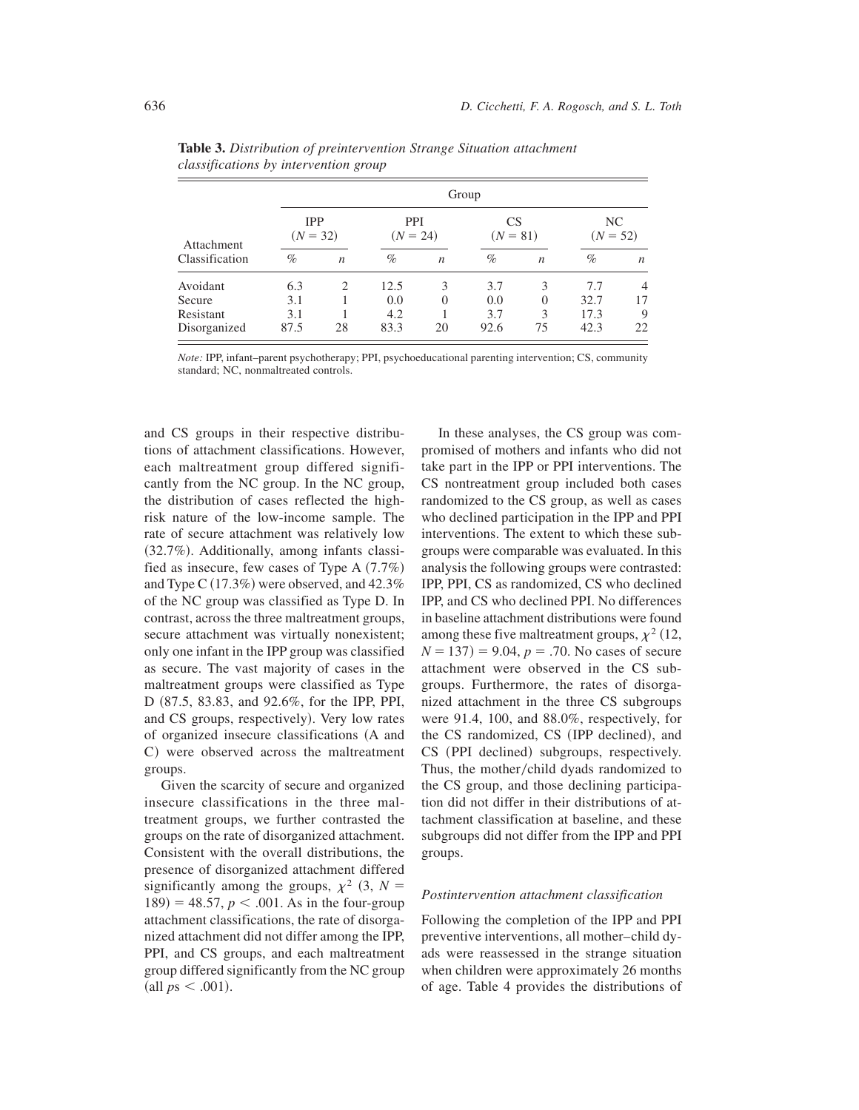| Attachment     |                          | Group            |                          |                  |                  |                  |                  |                  |  |  |  |
|----------------|--------------------------|------------------|--------------------------|------------------|------------------|------------------|------------------|------------------|--|--|--|
|                | <b>IPP</b><br>$(N = 32)$ |                  | <b>PPI</b><br>$(N = 24)$ |                  | CS<br>$(N = 81)$ |                  | NC<br>$(N = 52)$ |                  |  |  |  |
| Classification | $\%$                     | $\boldsymbol{n}$ | $\%$                     | $\boldsymbol{n}$ | %                | $\boldsymbol{n}$ | $\%$             | $\boldsymbol{n}$ |  |  |  |
| Avoidant       | 6.3                      | 2                | 12.5                     | 3                | 3.7              | 3                | 7.7              | 4                |  |  |  |
| Secure         | 3.1                      |                  | 0.0                      | $\Omega$         | 0.0              | $\Omega$         | 32.7             | 17               |  |  |  |
| Resistant      | 3.1                      |                  | 4.2                      |                  | 3.7              | 3                | 17.3             | 9                |  |  |  |
| Disorganized   | 87.5                     | 28               | 83.3                     | 20               | 92.6             | 75               | 42.3             | 22               |  |  |  |

**Table 3.** *Distribution of preintervention Strange Situation attachment classifications by intervention group*

*Note:* IPP, infant–parent psychotherapy; PPI, psychoeducational parenting intervention; CS, community standard; NC, nonmaltreated controls.

and CS groups in their respective distributions of attachment classifications. However, each maltreatment group differed significantly from the NC group. In the NC group, the distribution of cases reflected the highrisk nature of the low-income sample. The rate of secure attachment was relatively low  $(32.7\%)$ . Additionally, among infants classified as insecure, few cases of Type A  $(7.7%)$ and Type C  $(17.3%)$  were observed, and 42.3% of the NC group was classified as Type D. In contrast, across the three maltreatment groups, secure attachment was virtually nonexistent; only one infant in the IPP group was classified as secure. The vast majority of cases in the maltreatment groups were classified as Type D  $(87.5, 83.83,$  and  $92.6\%$ , for the IPP, PPI, and CS groups, respectively). Very low rates of organized insecure classifications (A and C! were observed across the maltreatment groups.

Given the scarcity of secure and organized insecure classifications in the three maltreatment groups, we further contrasted the groups on the rate of disorganized attachment. Consistent with the overall distributions, the presence of disorganized attachment differed significantly among the groups,  $\chi^2$  (3, *N* =  $189$  = 48.57,  $p < .001$ . As in the four-group attachment classifications, the rate of disorganized attachment did not differ among the IPP, PPI, and CS groups, and each maltreatment group differed significantly from the NC group  $({\text{all } ps} < .001).$ 

In these analyses, the CS group was compromised of mothers and infants who did not take part in the IPP or PPI interventions. The CS nontreatment group included both cases randomized to the CS group, as well as cases who declined participation in the IPP and PPI interventions. The extent to which these subgroups were comparable was evaluated. In this analysis the following groups were contrasted: IPP, PPI, CS as randomized, CS who declined IPP, and CS who declined PPI. No differences in baseline attachment distributions were found among these five maltreatment groups,  $\chi^2$  (12,  $N = 137$  = 9.04,  $p = .70$ . No cases of secure attachment were observed in the CS subgroups. Furthermore, the rates of disorganized attachment in the three CS subgroups were 91.4, 100, and 88.0%, respectively, for the CS randomized, CS (IPP declined), and CS (PPI declined) subgroups, respectively. Thus, the mother/child dyads randomized to the CS group, and those declining participation did not differ in their distributions of attachment classification at baseline, and these subgroups did not differ from the IPP and PPI groups.

#### *Postintervention attachment classification*

Following the completion of the IPP and PPI preventive interventions, all mother–child dyads were reassessed in the strange situation when children were approximately 26 months of age. Table 4 provides the distributions of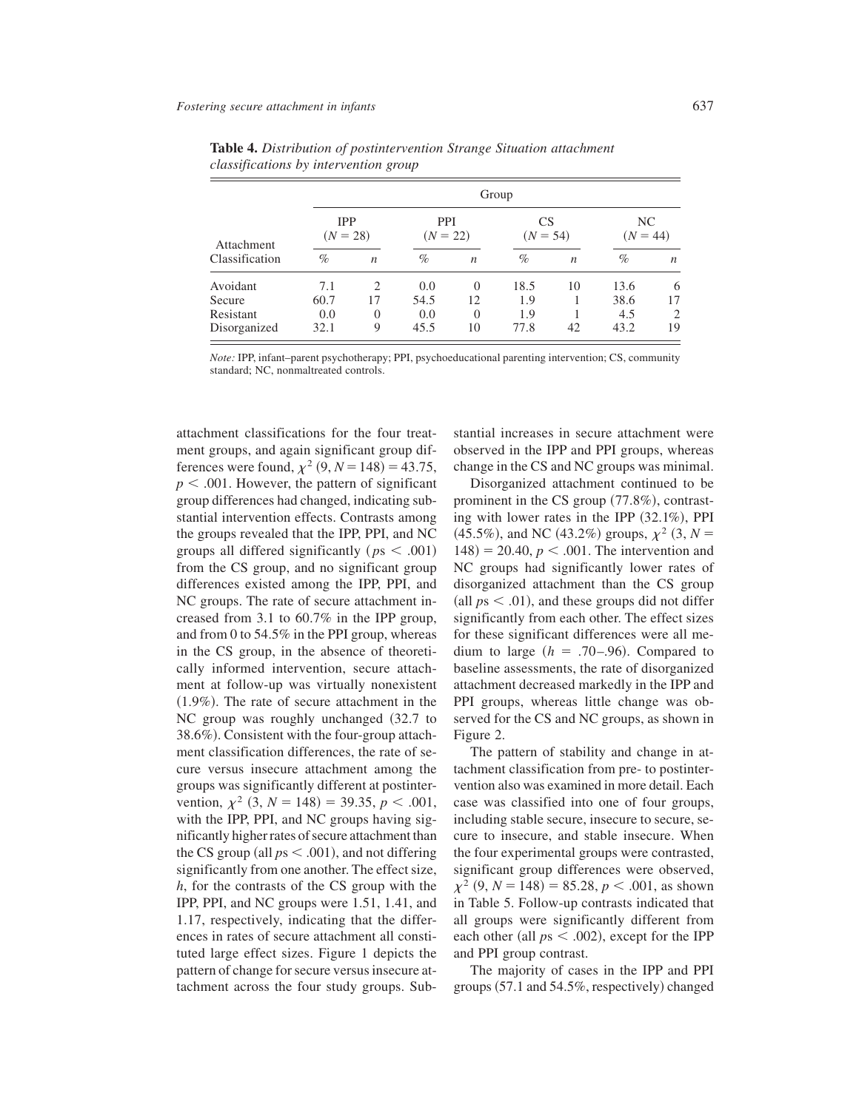| Attachment<br>Classification |                          | Group            |                          |                  |                  |                  |                   |                  |  |  |  |
|------------------------------|--------------------------|------------------|--------------------------|------------------|------------------|------------------|-------------------|------------------|--|--|--|
|                              | <b>IPP</b><br>$(N = 28)$ |                  | <b>PPI</b><br>$(N = 22)$ |                  | CS<br>$(N = 54)$ |                  | NC.<br>$(N = 44)$ |                  |  |  |  |
|                              | $\%$                     | $\boldsymbol{n}$ | $\%$                     | $\boldsymbol{n}$ | $\%$             | $\boldsymbol{n}$ | $\%$              | $\boldsymbol{n}$ |  |  |  |
| Avoidant                     | 7.1                      | $\overline{c}$   | 0.0                      | $\theta$         | 18.5             | 10               | 13.6              | 6                |  |  |  |
| Secure                       | 60.7                     | 17               | 54.5                     | 12               | 1.9              |                  | 38.6              | 17               |  |  |  |
| Resistant                    | 0.0                      | $\Omega$         | 0.0                      | $\Omega$         | 1.9              |                  | 4.5               | 2                |  |  |  |
| Disorganized                 | 32.1                     | 9                | 45.5                     | 10               | 77.8             | 42               | 43.2              | 19               |  |  |  |

**Table 4.** *Distribution of postintervention Strange Situation attachment classifications by intervention group*

*Note:* IPP, infant–parent psychotherapy; PPI, psychoeducational parenting intervention; CS, community standard; NC, nonmaltreated controls.

attachment classifications for the four treatment groups, and again significant group differences were found,  $\chi^2$  (9, *N* = 148) = 43.75,  $p < .001$ . However, the pattern of significant group differences had changed, indicating substantial intervention effects. Contrasts among the groups revealed that the IPP, PPI, and NC groups all differed significantly ( $ps < .001$ ) from the CS group, and no significant group differences existed among the IPP, PPI, and NC groups. The rate of secure attachment increased from 3.1 to 60.7% in the IPP group, and from 0 to 54.5% in the PPI group, whereas in the CS group, in the absence of theoretically informed intervention, secure attachment at follow-up was virtually nonexistent  $(1.9\%)$ . The rate of secure attachment in the NC group was roughly unchanged  $(32.7)$  to  $38.6\%$ ). Consistent with the four-group attachment classification differences, the rate of secure versus insecure attachment among the groups was significantly different at postintervention,  $\chi^2$  (3, *N* = 148) = 39.35, *p* < .001, with the IPP, PPI, and NC groups having significantly higher rates of secure attachment than the CS group (all  $ps < .001$ ), and not differing significantly from one another. The effect size, *h*, for the contrasts of the CS group with the IPP, PPI, and NC groups were 1.51, 1.41, and 1.17, respectively, indicating that the differences in rates of secure attachment all constituted large effect sizes. Figure 1 depicts the pattern of change for secure versus insecure attachment across the four study groups. Substantial increases in secure attachment were observed in the IPP and PPI groups, whereas change in the CS and NC groups was minimal.

Disorganized attachment continued to be prominent in the CS group  $(77.8\%)$ , contrasting with lower rates in the IPP  $(32.1\%)$ , PPI  $(45.5\%)$ , and NC  $(43.2\%)$  groups,  $\chi^2$   $(3, N =$  $148$ ) = 20.40,  $p < .001$ . The intervention and NC groups had significantly lower rates of disorganized attachment than the CS group (all  $ps < .01$ ), and these groups did not differ significantly from each other. The effect sizes for these significant differences were all medium to large  $(h = .70-0.96)$ . Compared to baseline assessments, the rate of disorganized attachment decreased markedly in the IPP and PPI groups, whereas little change was observed for the CS and NC groups, as shown in Figure 2.

The pattern of stability and change in attachment classification from pre- to postintervention also was examined in more detail. Each case was classified into one of four groups, including stable secure, insecure to secure, secure to insecure, and stable insecure. When the four experimental groups were contrasted, significant group differences were observed,  $\chi^2$  (9, *N* = 148) = 85.28, *p* < .001, as shown in Table 5. Follow-up contrasts indicated that all groups were significantly different from each other (all  $ps < .002$ ), except for the IPP and PPI group contrast.

The majority of cases in the IPP and PPI groups  $(57.1$  and  $54.5\%$ , respectively) changed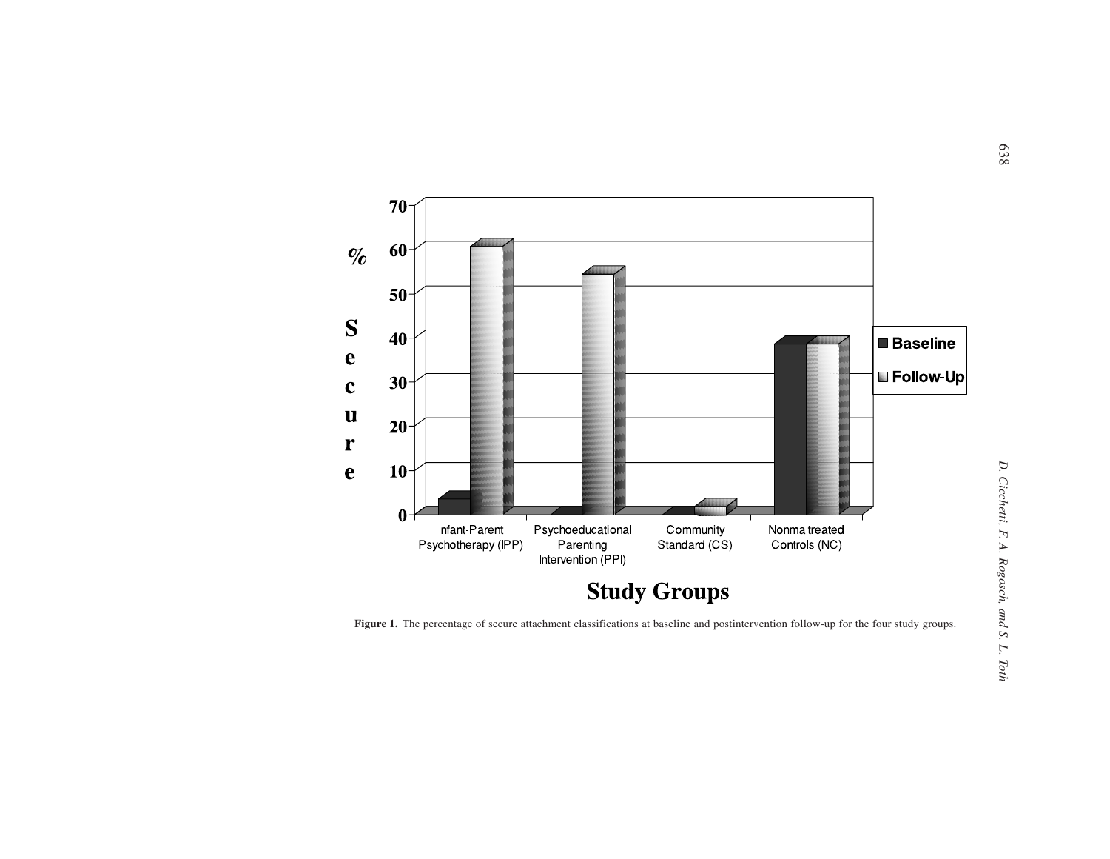

**Figure 1.** The percentage of secure attachment classifications at baseline and postintervention follow-up for the four study groups.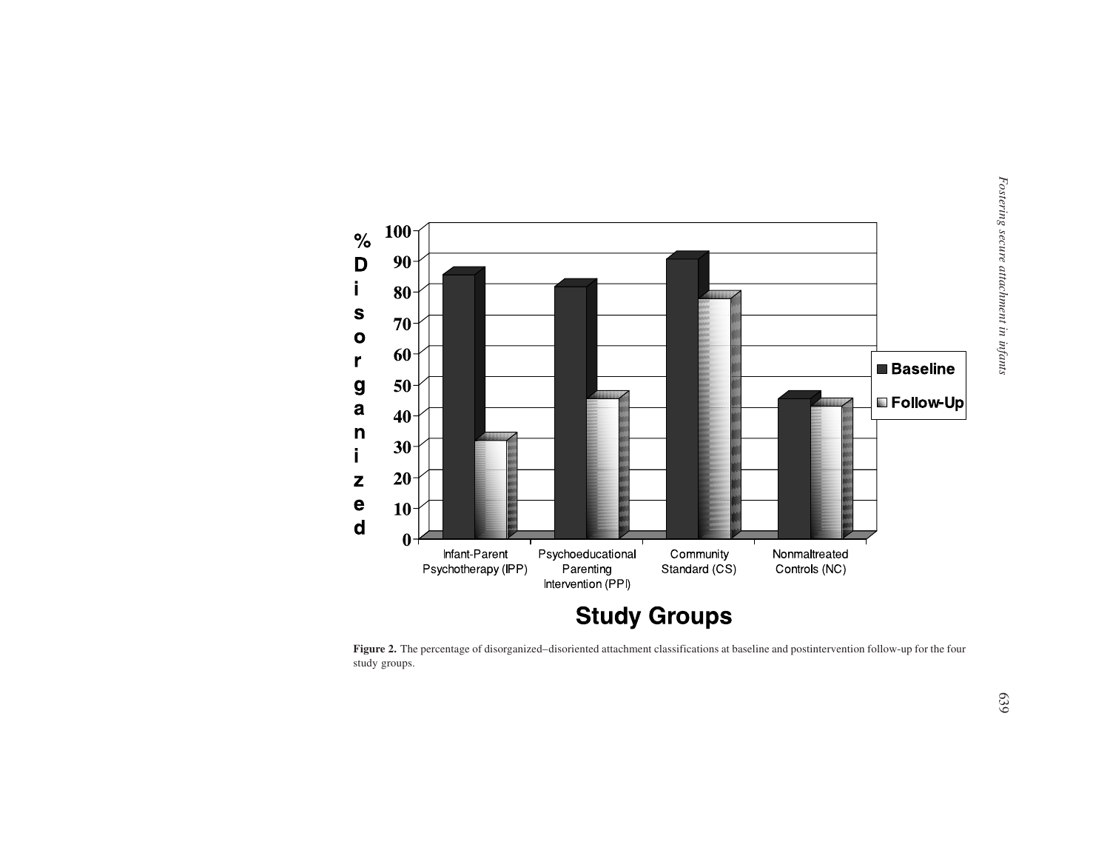

**Figure 2.** The percentage of disorganized–disoriented attachment classifications at baseline and postintervention follow-up for the four study groups.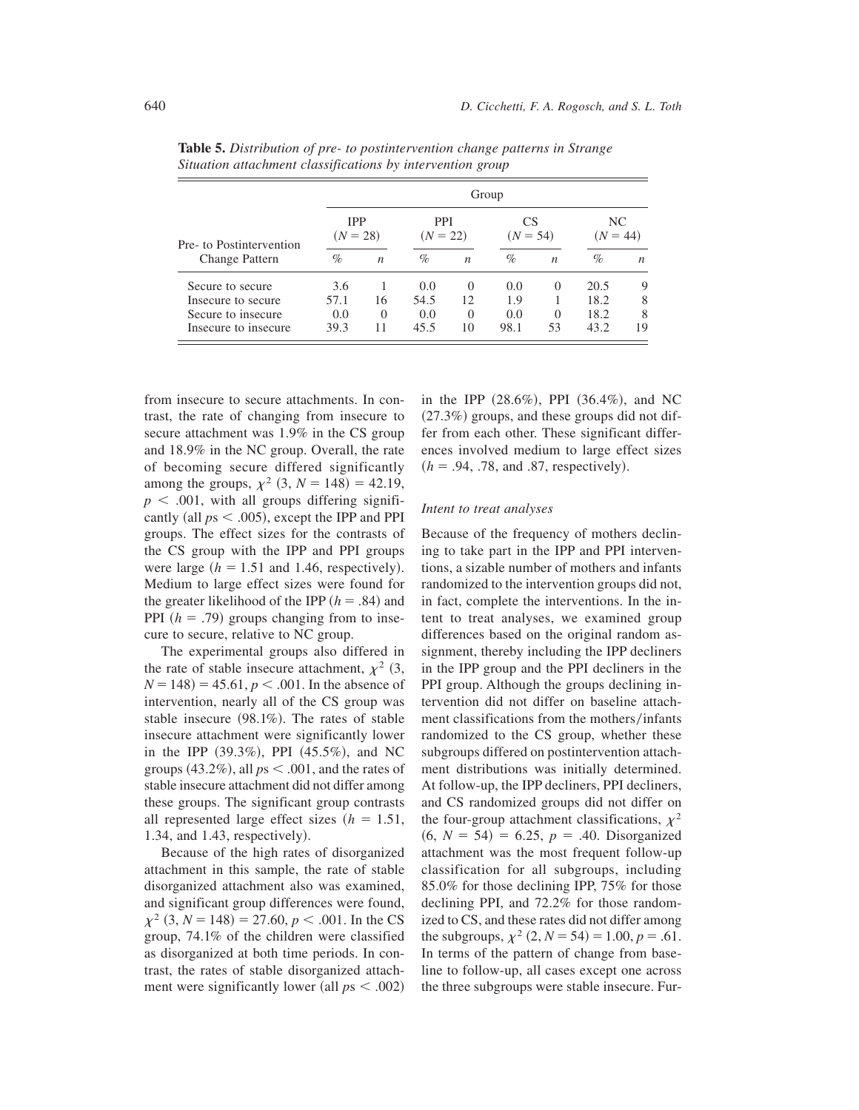|                          |                          | Group            |                          |                  |                  |                  |                  |    |  |  |  |
|--------------------------|--------------------------|------------------|--------------------------|------------------|------------------|------------------|------------------|----|--|--|--|
| Pre- to Postintervention | <b>IPP</b><br>$(N = 28)$ |                  | <b>PPI</b><br>$(N = 22)$ |                  | CS<br>$(N = 54)$ |                  | NC<br>$(N = 44)$ |    |  |  |  |
| Change Pattern           | %                        | $\boldsymbol{n}$ | $\%$                     | $\boldsymbol{n}$ | $\%$             | $\boldsymbol{n}$ | $\%$             | n  |  |  |  |
| Secure to secure         | 3.6                      |                  | 0.0                      | $\Omega$         | 0.0              | $\Omega$         | 20.5             | 9  |  |  |  |
| Insecure to secure       | 57.1                     | 16               | 54.5                     | 12               | 1.9              |                  | 18.2             | 8  |  |  |  |
| Secure to insecure       | 0.0                      | $\Omega$         | 0.0                      | $\theta$         | 0.0              | $\Omega$         | 18.2             | 8  |  |  |  |
| Insecure to insecure     | 39.3                     | 11               | 45.5                     | 10               | 98.1             | 53               | 43.2             | 19 |  |  |  |

**Table 5.** *Distribution of pre- to postintervention change patterns in Strange Situation attachment classifications by intervention group*

from insecure to secure attachments. In contrast, the rate of changing from insecure to secure attachment was 1.9% in the CS group and 18.9% in the NC group. Overall, the rate of becoming secure differed significantly among the groups,  $\chi^2$  (3, *N* = 148) = 42.19,  $p < .001$ , with all groups differing significantly (all  $ps < .005$ ), except the IPP and PPI groups. The effect sizes for the contrasts of the CS group with the IPP and PPI groups were large  $(h = 1.51$  and 1.46, respectively). Medium to large effect sizes were found for the greater likelihood of the IPP  $(h = .84)$  and PPI  $(h = .79)$  groups changing from to insecure to secure, relative to NC group.

The experimental groups also differed in the rate of stable insecure attachment,  $\chi^2$  (3,  $N = 148$  = 45.61,  $p < .001$ . In the absence of intervention, nearly all of the CS group was stable insecure  $(98.1\%)$ . The rates of stable insecure attachment were significantly lower in the IPP  $(39.3\%)$ , PPI  $(45.5\%)$ , and NC groups  $(43.2\%)$ , all  $ps < .001$ , and the rates of stable insecure attachment did not differ among these groups. The significant group contrasts all represented large effect sizes  $(h = 1.51,$  $1.34$ , and  $1.43$ , respectively).

Because of the high rates of disorganized attachment in this sample, the rate of stable disorganized attachment also was examined, and significant group differences were found,  $\chi^2$  (3, *N* = 148) = 27.60, *p* < .001. In the CS group, 74.1% of the children were classified as disorganized at both time periods. In contrast, the rates of stable disorganized attachment were significantly lower (all  $ps < .002$ ) in the IPP  $(28.6\%)$ , PPI  $(36.4\%)$ , and NC  $(27.3%)$  groups, and these groups did not differ from each other. These significant differences involved medium to large effect sizes  $(h = .94, .78, and .87, respectively).$ 

#### *Intent to treat analyses*

Because of the frequency of mothers declining to take part in the IPP and PPI interventions, a sizable number of mothers and infants randomized to the intervention groups did not, in fact, complete the interventions. In the intent to treat analyses, we examined group differences based on the original random assignment, thereby including the IPP decliners in the IPP group and the PPI decliners in the PPI group. Although the groups declining intervention did not differ on baseline attachment classifications from the mothers/infants randomized to the CS group, whether these subgroups differed on postintervention attachment distributions was initially determined. At follow-up, the IPP decliners, PPI decliners, and CS randomized groups did not differ on the four-group attachment classifications,  $\chi^2$  $(6, N = 54) = 6.25, p = .40$ . Disorganized attachment was the most frequent follow-up classification for all subgroups, including 85.0% for those declining IPP, 75% for those declining PPI, and 72.2% for those randomized to CS, and these rates did not differ among the subgroups,  $\chi^2$  (2, *N* = 54) = 1.00, *p* = .61. In terms of the pattern of change from baseline to follow-up, all cases except one across the three subgroups were stable insecure. Fur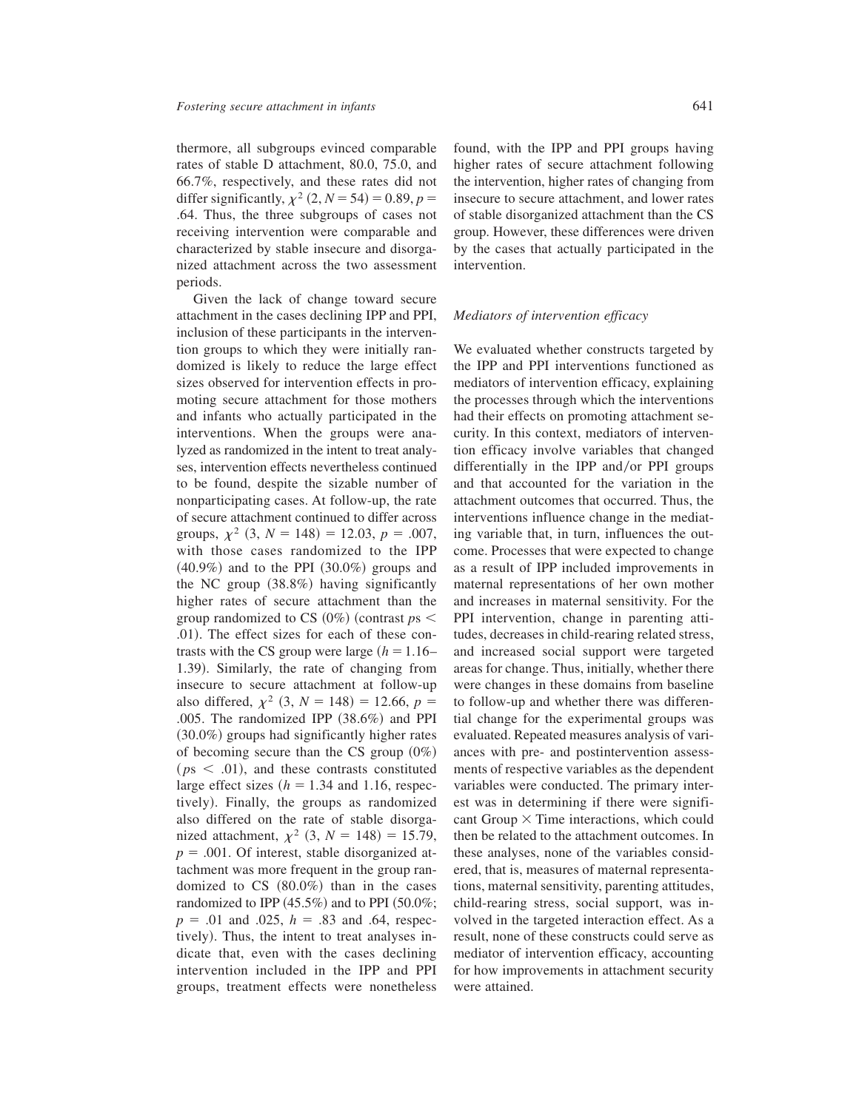thermore, all subgroups evinced comparable rates of stable D attachment, 80.0, 75.0, and 66.7%, respectively, and these rates did not differ significantly,  $\chi^2$  (2, *N* = 54) = 0.89, *p* = .64. Thus, the three subgroups of cases not receiving intervention were comparable and characterized by stable insecure and disorganized attachment across the two assessment periods.

Given the lack of change toward secure attachment in the cases declining IPP and PPI, inclusion of these participants in the intervention groups to which they were initially randomized is likely to reduce the large effect sizes observed for intervention effects in promoting secure attachment for those mothers and infants who actually participated in the interventions. When the groups were analyzed as randomized in the intent to treat analyses, intervention effects nevertheless continued to be found, despite the sizable number of nonparticipating cases. At follow-up, the rate of secure attachment continued to differ across groups,  $\chi^2$  (3,  $N = 148$ ) = 12.03,  $p = .007$ , with those cases randomized to the IPP  $(40.9\%)$  and to the PPI  $(30.0\%)$  groups and the NC group  $(38.8\%)$  having significantly higher rates of secure attachment than the group randomized to CS  $(0\%)$  (contrast  $p_s$  < .01). The effect sizes for each of these contrasts with the CS group were large  $(h = 1.16-$ 1.39). Similarly, the rate of changing from insecure to secure attachment at follow-up also differed,  $\chi^2$  (3, *N* = 148) = 12.66, *p* =  $.005$ . The randomized IPP  $(38.6%)$  and PPI  $(30.0\%)$  groups had significantly higher rates of becoming secure than the CS group  $(0\%)$  $~ (ps < .01)$ , and these contrasts constituted large effect sizes  $(h = 1.34$  and 1.16, respectively). Finally, the groups as randomized also differed on the rate of stable disorganized attachment,  $\chi^2$  (3, *N* = 148) = 15.79,  $p = .001$ . Of interest, stable disorganized attachment was more frequent in the group randomized to  $CS$   $(80.0\%)$  than in the cases randomized to IPP  $(45.5%)$  and to PPI  $(50.0\%);$  $p = .01$  and .025,  $h = .83$  and .64, respectively). Thus, the intent to treat analyses indicate that, even with the cases declining intervention included in the IPP and PPI groups, treatment effects were nonetheless

found, with the IPP and PPI groups having higher rates of secure attachment following the intervention, higher rates of changing from insecure to secure attachment, and lower rates of stable disorganized attachment than the CS group. However, these differences were driven by the cases that actually participated in the intervention.

#### *Mediators of intervention efficacy*

We evaluated whether constructs targeted by the IPP and PPI interventions functioned as mediators of intervention efficacy, explaining the processes through which the interventions had their effects on promoting attachment security. In this context, mediators of intervention efficacy involve variables that changed differentially in the IPP and/or PPI groups and that accounted for the variation in the attachment outcomes that occurred. Thus, the interventions influence change in the mediating variable that, in turn, influences the outcome. Processes that were expected to change as a result of IPP included improvements in maternal representations of her own mother and increases in maternal sensitivity. For the PPI intervention, change in parenting attitudes, decreases in child-rearing related stress, and increased social support were targeted areas for change. Thus, initially, whether there were changes in these domains from baseline to follow-up and whether there was differential change for the experimental groups was evaluated. Repeated measures analysis of variances with pre- and postintervention assessments of respective variables as the dependent variables were conducted. The primary interest was in determining if there were significant Group  $\times$  Time interactions, which could then be related to the attachment outcomes. In these analyses, none of the variables considered, that is, measures of maternal representations, maternal sensitivity, parenting attitudes, child-rearing stress, social support, was involved in the targeted interaction effect. As a result, none of these constructs could serve as mediator of intervention efficacy, accounting for how improvements in attachment security were attained.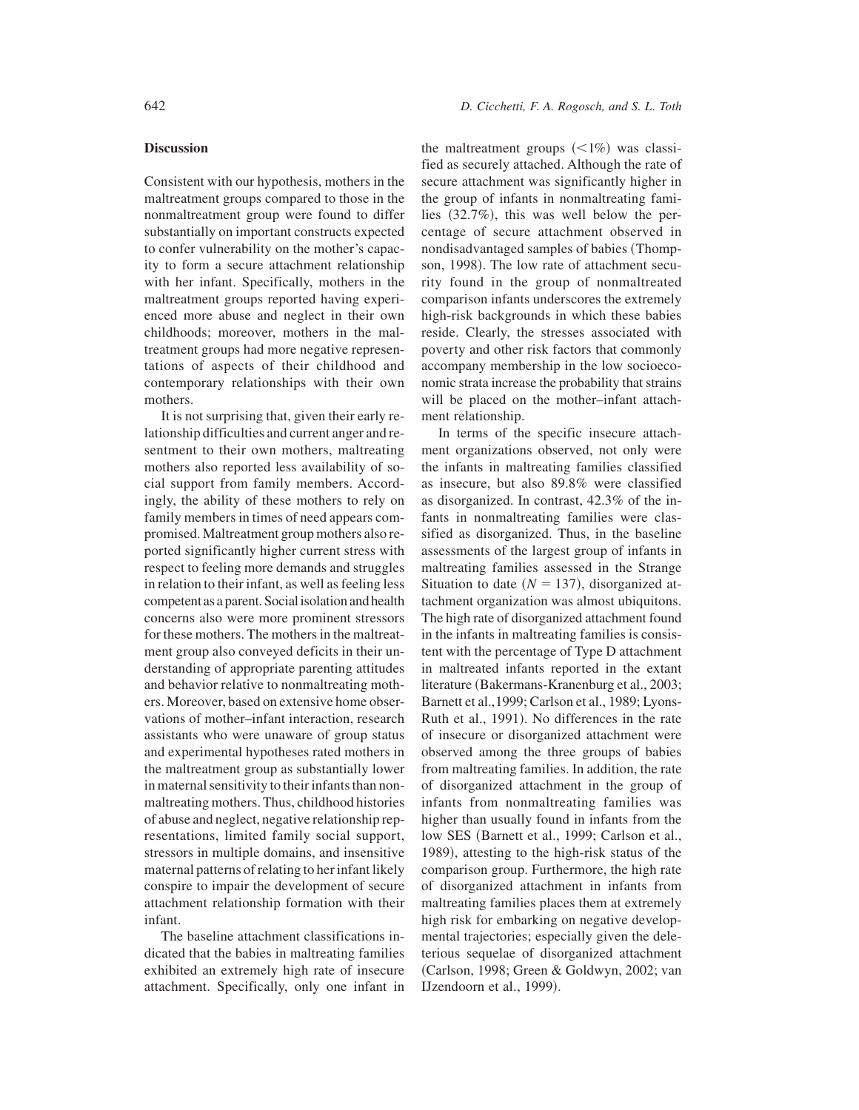# **Discussion**

Consistent with our hypothesis, mothers in the maltreatment groups compared to those in the nonmaltreatment group were found to differ substantially on important constructs expected to confer vulnerability on the mother's capacity to form a secure attachment relationship with her infant. Specifically, mothers in the maltreatment groups reported having experienced more abuse and neglect in their own childhoods; moreover, mothers in the maltreatment groups had more negative representations of aspects of their childhood and contemporary relationships with their own mothers.

It is not surprising that, given their early relationship difficulties and current anger and resentment to their own mothers, maltreating mothers also reported less availability of social support from family members. Accordingly, the ability of these mothers to rely on family members in times of need appears compromised. Maltreatment group mothers also reported significantly higher current stress with respect to feeling more demands and struggles in relation to their infant, as well as feeling less competent as a parent. Socialisolation and health concerns also were more prominent stressors for these mothers. The mothers in the maltreatment group also conveyed deficits in their understanding of appropriate parenting attitudes and behavior relative to nonmaltreating mothers. Moreover, based on extensive home observations of mother–infant interaction, research assistants who were unaware of group status and experimental hypotheses rated mothers in the maltreatment group as substantially lower in maternal sensitivity to their infants than nonmaltreating mothers. Thus, childhood histories of abuse and neglect, negative relationship representations, limited family social support, stressors in multiple domains, and insensitive maternal patterns of relating to her infant likely conspire to impair the development of secure attachment relationship formation with their infant.

The baseline attachment classifications indicated that the babies in maltreating families exhibited an extremely high rate of insecure attachment. Specifically, only one infant in the maltreatment groups  $\left(\langle 1\% \right)$  was classified as securely attached. Although the rate of secure attachment was significantly higher in the group of infants in nonmaltreating families  $(32.7\%)$ , this was well below the percentage of secure attachment observed in nondisadvantaged samples of babies (Thompson, 1998). The low rate of attachment security found in the group of nonmaltreated comparison infants underscores the extremely high-risk backgrounds in which these babies reside. Clearly, the stresses associated with poverty and other risk factors that commonly accompany membership in the low socioeconomic strata increase the probability that strains will be placed on the mother–infant attachment relationship.

In terms of the specific insecure attachment organizations observed, not only were the infants in maltreating families classified as insecure, but also 89.8% were classified as disorganized. In contrast, 42.3% of the infants in nonmaltreating families were classified as disorganized. Thus, in the baseline assessments of the largest group of infants in maltreating families assessed in the Strange Situation to date  $(N = 137)$ , disorganized attachment organization was almost ubiquitons. The high rate of disorganized attachment found in the infants in maltreating families is consistent with the percentage of Type D attachment in maltreated infants reported in the extant literature (Bakermans-Kranenburg et al., 2003; Barnett et al.,1999; Carlson et al., 1989; Lyons-Ruth et al., 1991). No differences in the rate of insecure or disorganized attachment were observed among the three groups of babies from maltreating families. In addition, the rate of disorganized attachment in the group of infants from nonmaltreating families was higher than usually found in infants from the low SES (Barnett et al., 1999; Carlson et al., 1989), attesting to the high-risk status of the comparison group. Furthermore, the high rate of disorganized attachment in infants from maltreating families places them at extremely high risk for embarking on negative developmental trajectories; especially given the deleterious sequelae of disorganized attachment (Carlson, 1998; Green & Goldwyn, 2002; van IJzendoorn et al., 1999).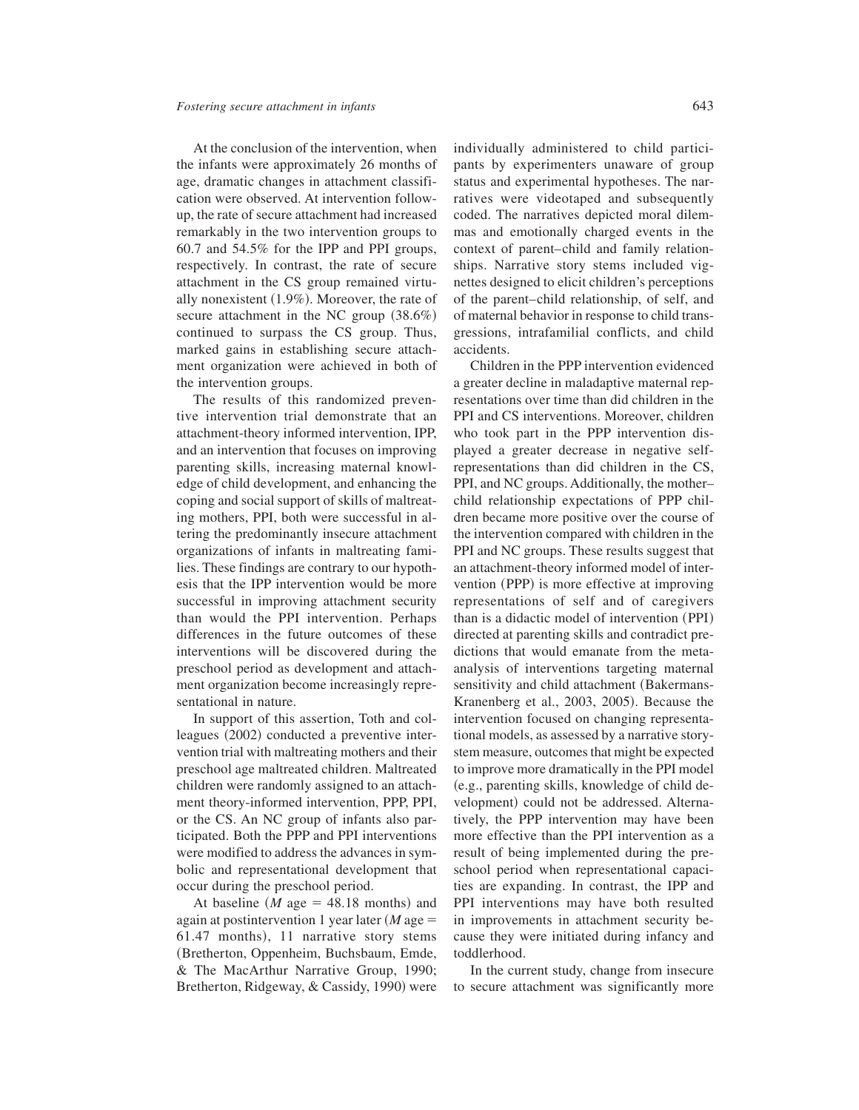At the conclusion of the intervention, when the infants were approximately 26 months of age, dramatic changes in attachment classification were observed. At intervention followup, the rate of secure attachment had increased remarkably in the two intervention groups to 60.7 and 54.5% for the IPP and PPI groups, respectively. In contrast, the rate of secure attachment in the CS group remained virtually nonexistent  $(1.9\%)$ . Moreover, the rate of secure attachment in the NC group  $(38.6\%)$ continued to surpass the CS group. Thus, marked gains in establishing secure attachment organization were achieved in both of the intervention groups.

The results of this randomized preventive intervention trial demonstrate that an attachment-theory informed intervention, IPP, and an intervention that focuses on improving parenting skills, increasing maternal knowledge of child development, and enhancing the coping and social support of skills of maltreating mothers, PPI, both were successful in altering the predominantly insecure attachment organizations of infants in maltreating families. These findings are contrary to our hypothesis that the IPP intervention would be more successful in improving attachment security than would the PPI intervention. Perhaps differences in the future outcomes of these interventions will be discovered during the preschool period as development and attachment organization become increasingly representational in nature.

In support of this assertion, Toth and colleagues (2002) conducted a preventive intervention trial with maltreating mothers and their preschool age maltreated children. Maltreated children were randomly assigned to an attachment theory-informed intervention, PPP, PPI, or the CS. An NC group of infants also participated. Both the PPP and PPI interventions were modified to address the advances in symbolic and representational development that occur during the preschool period.

At baseline  $(M \t{age} = 48.18 \t{ months})$  and again at postintervention 1 year later  $(M$  age  $=$ 61.47 months), 11 narrative story stems ~Bretherton, Oppenheim, Buchsbaum, Emde, & The MacArthur Narrative Group, 1990; Bretherton, Ridgeway, & Cassidy, 1990) were individually administered to child participants by experimenters unaware of group status and experimental hypotheses. The narratives were videotaped and subsequently coded. The narratives depicted moral dilemmas and emotionally charged events in the context of parent–child and family relationships. Narrative story stems included vignettes designed to elicit children's perceptions of the parent–child relationship, of self, and of maternal behavior in response to child transgressions, intrafamilial conflicts, and child accidents.

Children in the PPP intervention evidenced a greater decline in maladaptive maternal representations over time than did children in the PPI and CS interventions. Moreover, children who took part in the PPP intervention displayed a greater decrease in negative selfrepresentations than did children in the CS, PPI, and NC groups. Additionally, the mother– child relationship expectations of PPP children became more positive over the course of the intervention compared with children in the PPI and NC groups. These results suggest that an attachment-theory informed model of intervention (PPP) is more effective at improving representations of self and of caregivers than is a didactic model of intervention (PPI) directed at parenting skills and contradict predictions that would emanate from the metaanalysis of interventions targeting maternal sensitivity and child attachment (Bakermans-Kranenberg et al., 2003, 2005). Because the intervention focused on changing representational models, as assessed by a narrative storystem measure, outcomes that might be expected to improve more dramatically in the PPI model  $(e.g.,$  parenting skills, knowledge of child development) could not be addressed. Alternatively, the PPP intervention may have been more effective than the PPI intervention as a result of being implemented during the preschool period when representational capacities are expanding. In contrast, the IPP and PPI interventions may have both resulted in improvements in attachment security because they were initiated during infancy and toddlerhood.

In the current study, change from insecure to secure attachment was significantly more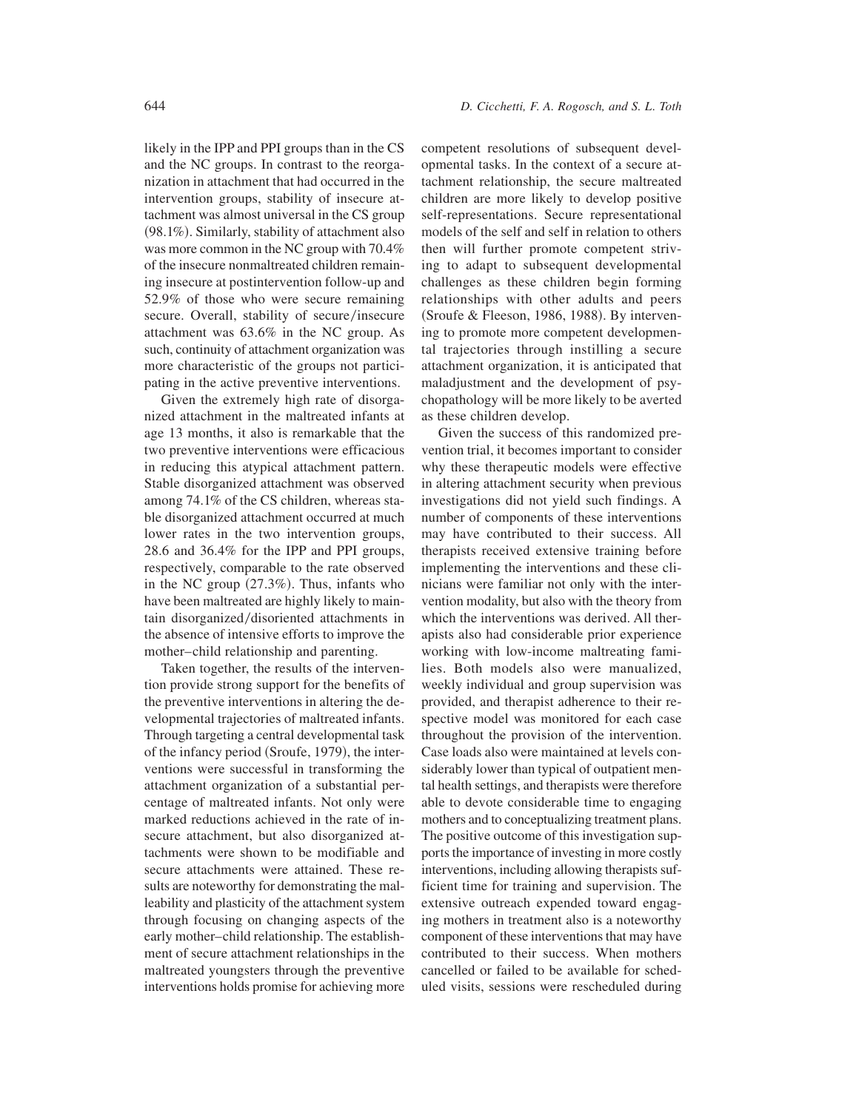likely in the IPP and PPI groups than in the CS and the NC groups. In contrast to the reorganization in attachment that had occurred in the intervention groups, stability of insecure attachment was almost universal in the CS group  $(98.1\%)$ . Similarly, stability of attachment also was more common in the NC group with 70.4% of the insecure nonmaltreated children remaining insecure at postintervention follow-up and 52.9% of those who were secure remaining secure. Overall, stability of secure/insecure attachment was 63.6% in the NC group. As such, continuity of attachment organization was more characteristic of the groups not participating in the active preventive interventions.

Given the extremely high rate of disorganized attachment in the maltreated infants at age 13 months, it also is remarkable that the two preventive interventions were efficacious in reducing this atypical attachment pattern. Stable disorganized attachment was observed among 74.1% of the CS children, whereas stable disorganized attachment occurred at much lower rates in the two intervention groups, 28.6 and 36.4% for the IPP and PPI groups, respectively, comparable to the rate observed in the NC group  $(27.3\%)$ . Thus, infants who have been maltreated are highly likely to maintain disorganized/disoriented attachments in the absence of intensive efforts to improve the mother–child relationship and parenting.

Taken together, the results of the intervention provide strong support for the benefits of the preventive interventions in altering the developmental trajectories of maltreated infants. Through targeting a central developmental task of the infancy period (Sroufe,  $1979$ ), the interventions were successful in transforming the attachment organization of a substantial percentage of maltreated infants. Not only were marked reductions achieved in the rate of insecure attachment, but also disorganized attachments were shown to be modifiable and secure attachments were attained. These results are noteworthy for demonstrating the malleability and plasticity of the attachment system through focusing on changing aspects of the early mother–child relationship. The establishment of secure attachment relationships in the maltreated youngsters through the preventive interventions holds promise for achieving more

competent resolutions of subsequent developmental tasks. In the context of a secure attachment relationship, the secure maltreated children are more likely to develop positive self-representations. Secure representational models of the self and self in relation to others then will further promote competent striving to adapt to subsequent developmental challenges as these children begin forming relationships with other adults and peers (Sroufe & Fleeson, 1986, 1988). By intervening to promote more competent developmental trajectories through instilling a secure attachment organization, it is anticipated that maladjustment and the development of psychopathology will be more likely to be averted as these children develop.

Given the success of this randomized prevention trial, it becomes important to consider why these therapeutic models were effective in altering attachment security when previous investigations did not yield such findings. A number of components of these interventions may have contributed to their success. All therapists received extensive training before implementing the interventions and these clinicians were familiar not only with the intervention modality, but also with the theory from which the interventions was derived. All therapists also had considerable prior experience working with low-income maltreating families. Both models also were manualized, weekly individual and group supervision was provided, and therapist adherence to their respective model was monitored for each case throughout the provision of the intervention. Case loads also were maintained at levels considerably lower than typical of outpatient mental health settings, and therapists were therefore able to devote considerable time to engaging mothers and to conceptualizing treatment plans. The positive outcome of this investigation supports the importance of investing in more costly interventions, including allowing therapists sufficient time for training and supervision. The extensive outreach expended toward engaging mothers in treatment also is a noteworthy component of these interventions that may have contributed to their success. When mothers cancelled or failed to be available for scheduled visits, sessions were rescheduled during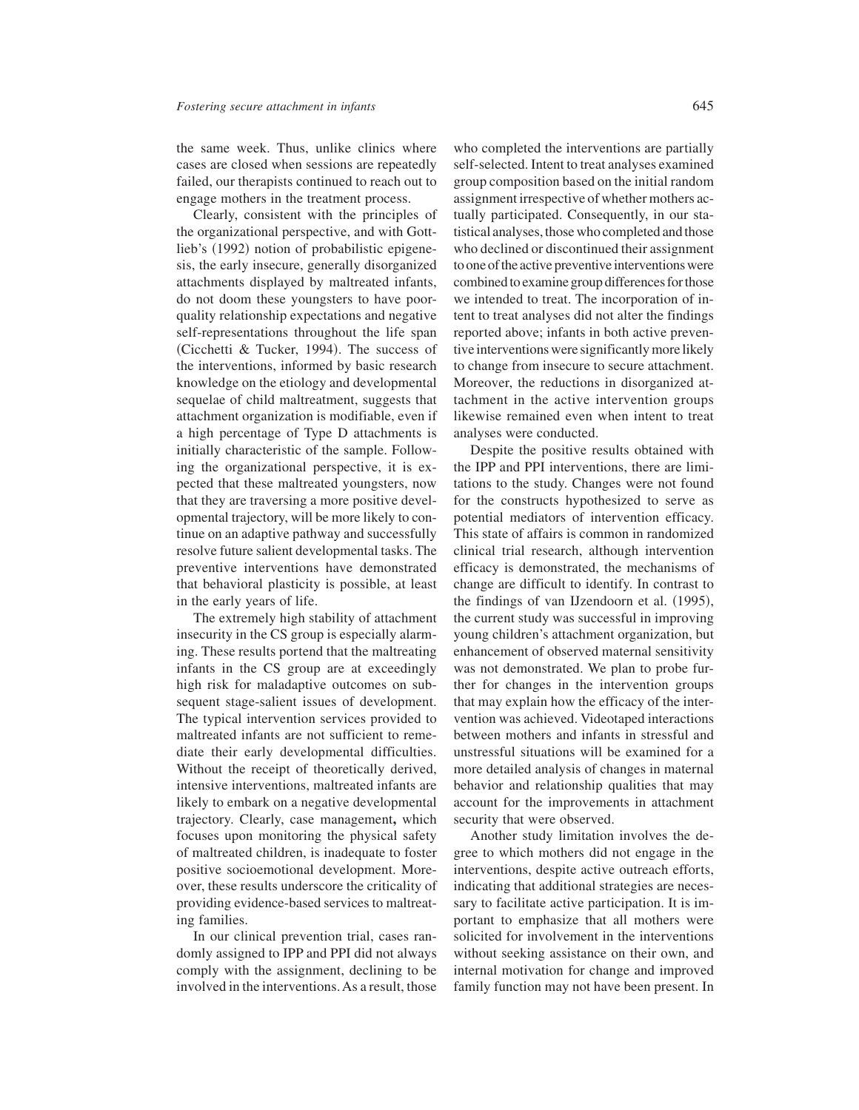the same week. Thus, unlike clinics where cases are closed when sessions are repeatedly failed, our therapists continued to reach out to engage mothers in the treatment process.

Clearly, consistent with the principles of the organizational perspective, and with Gottlieb's (1992) notion of probabilistic epigenesis, the early insecure, generally disorganized attachments displayed by maltreated infants, do not doom these youngsters to have poorquality relationship expectations and negative self-representations throughout the life span (Cicchetti & Tucker, 1994). The success of the interventions, informed by basic research knowledge on the etiology and developmental sequelae of child maltreatment, suggests that attachment organization is modifiable, even if a high percentage of Type D attachments is initially characteristic of the sample. Following the organizational perspective, it is expected that these maltreated youngsters, now that they are traversing a more positive developmental trajectory, will be more likely to continue on an adaptive pathway and successfully resolve future salient developmental tasks. The preventive interventions have demonstrated that behavioral plasticity is possible, at least in the early years of life.

The extremely high stability of attachment insecurity in the CS group is especially alarming. These results portend that the maltreating infants in the CS group are at exceedingly high risk for maladaptive outcomes on subsequent stage-salient issues of development. The typical intervention services provided to maltreated infants are not sufficient to remediate their early developmental difficulties. Without the receipt of theoretically derived, intensive interventions, maltreated infants are likely to embark on a negative developmental trajectory. Clearly, case management**,** which focuses upon monitoring the physical safety of maltreated children, is inadequate to foster positive socioemotional development. Moreover, these results underscore the criticality of providing evidence-based services to maltreating families.

In our clinical prevention trial, cases randomly assigned to IPP and PPI did not always comply with the assignment, declining to be involved in the interventions.As a result, those

who completed the interventions are partially self-selected. Intent to treat analyses examined group composition based on the initial random assignment irrespective of whether mothers actually participated. Consequently, in our statistical analyses, those who completed and those who declined or discontinued their assignment to one of the active preventive interventions were combined to examine group differences for those we intended to treat. The incorporation of intent to treat analyses did not alter the findings reported above; infants in both active preventive interventions were significantly more likely to change from insecure to secure attachment. Moreover, the reductions in disorganized attachment in the active intervention groups likewise remained even when intent to treat analyses were conducted.

Despite the positive results obtained with the IPP and PPI interventions, there are limitations to the study. Changes were not found for the constructs hypothesized to serve as potential mediators of intervention efficacy. This state of affairs is common in randomized clinical trial research, although intervention efficacy is demonstrated, the mechanisms of change are difficult to identify. In contrast to the findings of van IJzendoorn et al.  $(1995)$ , the current study was successful in improving young children's attachment organization, but enhancement of observed maternal sensitivity was not demonstrated. We plan to probe further for changes in the intervention groups that may explain how the efficacy of the intervention was achieved. Videotaped interactions between mothers and infants in stressful and unstressful situations will be examined for a more detailed analysis of changes in maternal behavior and relationship qualities that may account for the improvements in attachment security that were observed.

Another study limitation involves the degree to which mothers did not engage in the interventions, despite active outreach efforts, indicating that additional strategies are necessary to facilitate active participation. It is important to emphasize that all mothers were solicited for involvement in the interventions without seeking assistance on their own, and internal motivation for change and improved family function may not have been present. In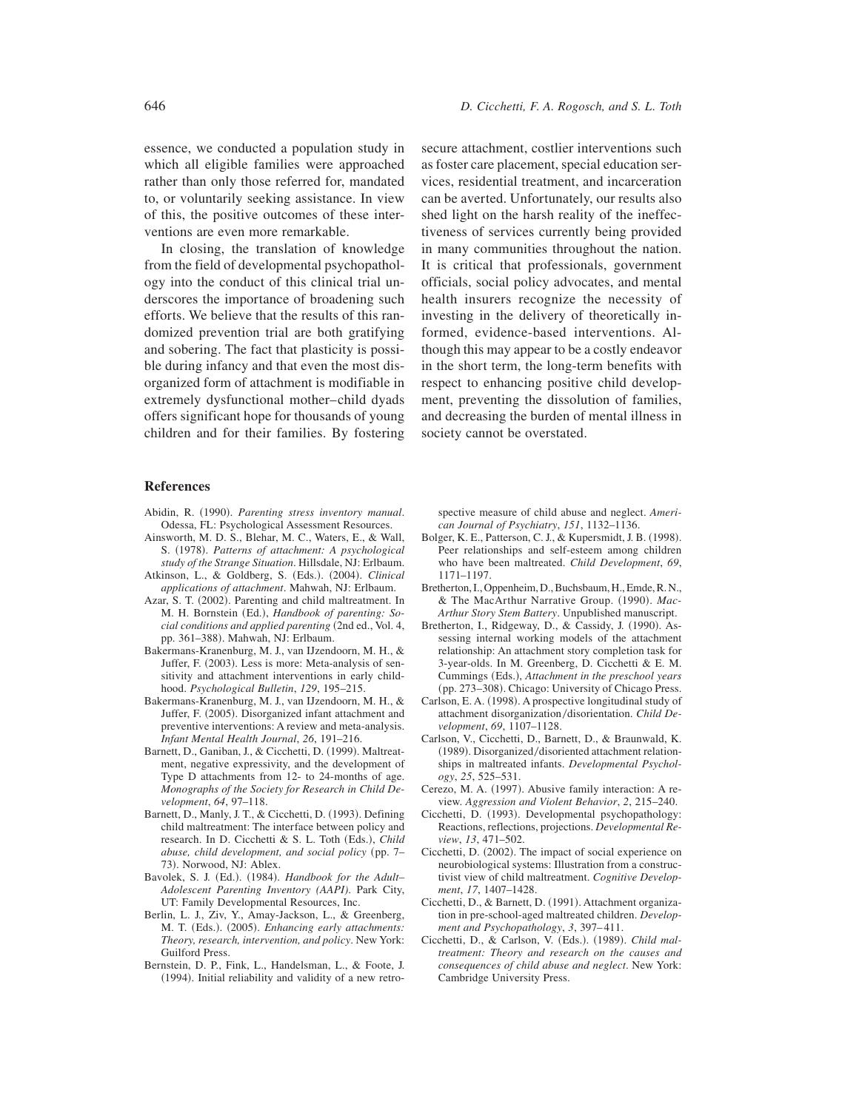essence, we conducted a population study in which all eligible families were approached rather than only those referred for, mandated to, or voluntarily seeking assistance. In view of this, the positive outcomes of these interventions are even more remarkable.

In closing, the translation of knowledge from the field of developmental psychopathology into the conduct of this clinical trial underscores the importance of broadening such efforts. We believe that the results of this randomized prevention trial are both gratifying and sobering. The fact that plasticity is possible during infancy and that even the most disorganized form of attachment is modifiable in extremely dysfunctional mother–child dyads offers significant hope for thousands of young children and for their families. By fostering

secure attachment, costlier interventions such as foster care placement, special education services, residential treatment, and incarceration can be averted. Unfortunately, our results also shed light on the harsh reality of the ineffectiveness of services currently being provided in many communities throughout the nation. It is critical that professionals, government officials, social policy advocates, and mental health insurers recognize the necessity of investing in the delivery of theoretically informed, evidence-based interventions. Although this may appear to be a costly endeavor in the short term, the long-term benefits with respect to enhancing positive child development, preventing the dissolution of families, and decreasing the burden of mental illness in society cannot be overstated.

#### **References**

- Abidin, R. (1990). *Parenting stress inventory manual*. Odessa, FL: Psychological Assessment Resources.
- Ainsworth, M. D. S., Blehar, M. C., Waters, E., & Wall, S. (1978). *Patterns of attachment: A psychological study of the Strange Situation*. Hillsdale, NJ: Erlbaum. Atkinson, L., & Goldberg, S. (Eds.). (2004). *Clinical*
- *applications of attachment*. Mahwah, NJ: Erlbaum.
- Azar, S. T.  $(2002)$ . Parenting and child maltreatment. In M. H. Bornstein (Ed.), *Handbook of parenting: Social conditions and applied parenting* (2nd ed., Vol. 4, pp. 361–388). Mahwah, NJ: Erlbaum.
- Bakermans-Kranenburg, M. J., van IJzendoorn, M. H., & Juffer, F. (2003). Less is more: Meta-analysis of sensitivity and attachment interventions in early childhood. *Psychological Bulletin*, *129*, 195–215.
- Bakermans-Kranenburg, M. J., van IJzendoorn, M. H., & Juffer, F. (2005). Disorganized infant attachment and preventive interventions: A review and meta-analysis. *Infant Mental Health Journal*, *26*, 191–216.
- Barnett, D., Ganiban, J., & Cicchetti, D. (1999). Maltreatment, negative expressivity, and the development of Type D attachments from 12- to 24-months of age. *Monographs of the Society for Research in Child Development*, *64*, 97–118.
- Barnett, D., Manly, J. T., & Cicchetti, D. (1993). Defining child maltreatment: The interface between policy and research. In D. Cicchetti & S. L. Toth (Eds.), *Child abuse, child development, and social policy* (pp. 7– 73). Norwood, NJ: Ablex.
- Bavolek, S. J. (Ed.). (1984). *Handbook for the Adult*-*Adolescent Parenting Inventory (AAPI)*. Park City, UT: Family Developmental Resources, Inc.
- Berlin, L. J., Ziv, Y., Amay-Jackson, L., & Greenberg, M. T. (Eds.). (2005). *Enhancing early attachments: Theory, research, intervention, and policy*. New York: Guilford Press.
- Bernstein, D. P., Fink, L., Handelsman, L., & Foote, J. (1994). Initial reliability and validity of a new retro-

spective measure of child abuse and neglect. *American Journal of Psychiatry*, *151*, 1132–1136.

- Bolger, K. E., Patterson, C. J., & Kupersmidt, J. B. (1998). Peer relationships and self-esteem among children who have been maltreated. *Child Development*, *69*, 1171–1197.
- Bretherton, I., Oppenheim, D., Buchsbaum, H., Emde, R. N.,  $&$  The MacArthur Narrative Group. (1990). *Mac-Arthur Story Stem Battery*. Unpublished manuscript.
- Bretherton, I., Ridgeway, D., & Cassidy, J. (1990). Assessing internal working models of the attachment relationship: An attachment story completion task for 3-year-olds. In M. Greenberg, D. Cicchetti & E. M. Cummings (Eds.), *Attachment in the preschool years* (pp. 273–308). Chicago: University of Chicago Press.
- Carlson, E. A. (1998). A prospective longitudinal study of attachment disorganization/disorientation. *Child Development*, *69*, 1107–1128.
- Carlson, V., Cicchetti, D., Barnett, D., & Braunwald, K.  $(1989)$ . Disorganized/disoriented attachment relationships in maltreated infants. *Developmental Psychology*, *25*, 525–531.
- Cerezo, M. A. (1997). Abusive family interaction: A review. *Aggression and Violent Behavior*, *2*, 215–240.
- Cicchetti, D. (1993). Developmental psychopathology: Reactions, reflections, projections. *Developmental Review*, *13*, 471–502.
- Cicchetti, D. (2002). The impact of social experience on neurobiological systems: Illustration from a constructivist view of child maltreatment. *Cognitive Development*, *17*, 1407–1428.
- Cicchetti, D., & Barnett, D. (1991). Attachment organization in pre-school-aged maltreated children. *Development and Psychopathology*, *3*, 397– 411.
- Cicchetti, D., & Carlson, V. (Eds.). (1989). *Child maltreatment: Theory and research on the causes and consequences of child abuse and neglect*. New York: Cambridge University Press.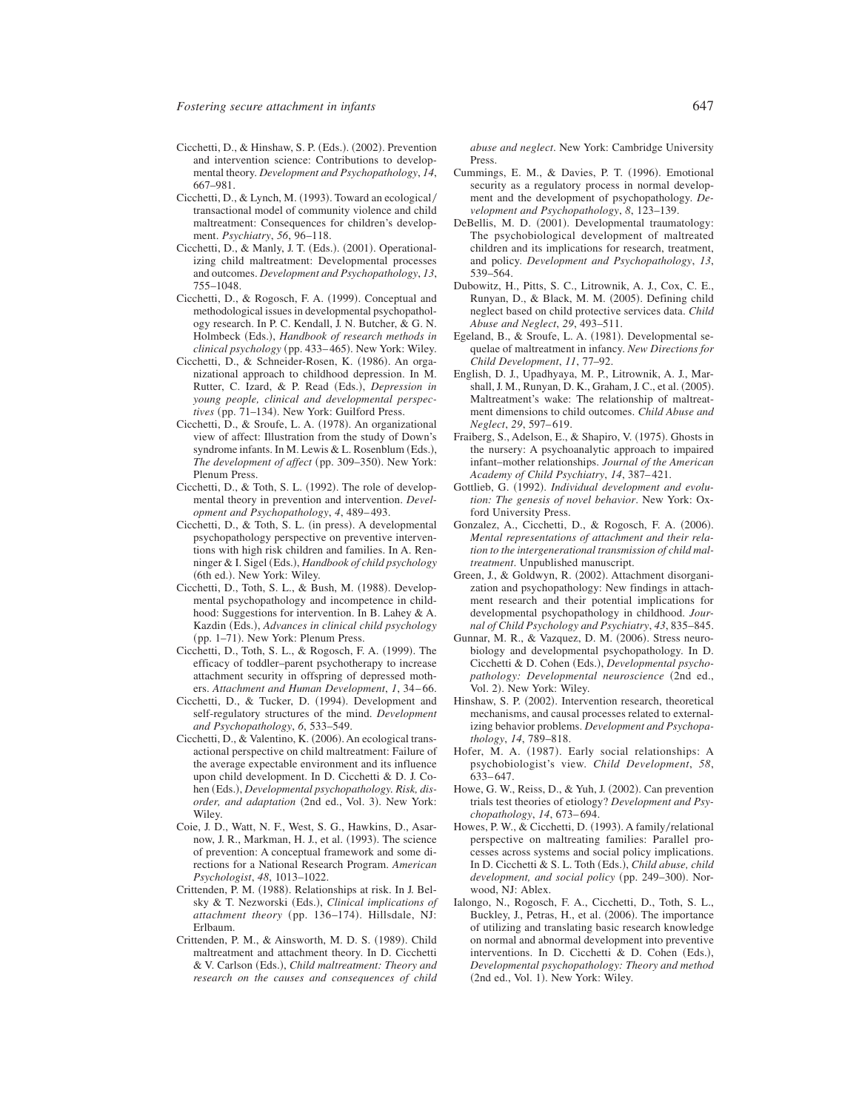- Cicchetti, D., & Hinshaw, S. P. (Eds.). (2002). Prevention and intervention science: Contributions to developmental theory. *Development and Psychopathology*, *14*, 667–981.
- Cicchetti, D., & Lynch, M. (1993). Toward an ecological/ transactional model of community violence and child maltreatment: Consequences for children's development. *Psychiatry*, *56*, 96–118.
- Cicchetti, D., & Manly, J. T. (Eds.). (2001). Operationalizing child maltreatment: Developmental processes and outcomes. *Development and Psychopathology*, *13*, 755–1048.
- Cicchetti, D., & Rogosch, F. A. (1999). Conceptual and methodological issues in developmental psychopathology research. In P. C. Kendall, J. N. Butcher, & G. N. Holmbeck ~Eds.!, *Handbook of research methods in clinical psychology* (pp. 433–465). New York: Wiley.
- Cicchetti, D., & Schneider-Rosen, K. (1986). An organizational approach to childhood depression. In M. Rutter, C. Izard, & P. Read (Eds.), *Depression in young people, clinical and developmental perspectives* (pp. 71–134). New York: Guilford Press.
- Cicchetti, D., & Sroufe, L. A. (1978). An organizational view of affect: Illustration from the study of Down's syndrome infants. In M. Lewis & L. Rosenblum (Eds.), *The development of affect* (pp. 309–350). New York: Plenum Press.
- Cicchetti, D., & Toth, S. L. (1992). The role of developmental theory in prevention and intervention. *Development and Psychopathology*, *4*, 489– 493.
- Cicchetti, D., & Toth, S. L. (in press). A developmental psychopathology perspective on preventive interventions with high risk children and families. In A. Renninger & I. Sigel (Eds.), *Handbook of child psychology* (6th ed.). New York: Wiley.
- Cicchetti, D., Toth, S. L., & Bush, M. (1988). Developmental psychopathology and incompetence in childhood: Suggestions for intervention. In B. Lahey & A. Kazdin (Eds.), *Advances in clinical child psychology* (pp. 1–71). New York: Plenum Press.
- Cicchetti, D., Toth, S. L., & Rogosch, F. A. ~1999!. The efficacy of toddler–parent psychotherapy to increase attachment security in offspring of depressed mothers. *Attachment and Human Development*, *1*, 34– 66.
- Cicchetti, D., & Tucker, D. (1994). Development and self-regulatory structures of the mind. *Development and Psychopathology*, *6*, 533–549.
- Cicchetti, D., & Valentino, K. (2006). An ecological transactional perspective on child maltreatment: Failure of the average expectable environment and its influence upon child development. In D. Cicchetti & D. J. Cohen (Eds.), *Developmental psychopathology. Risk, dis*order, and adaptation (2nd ed., Vol. 3). New York: Wiley.
- Coie, J. D., Watt, N. F., West, S. G., Hawkins, D., Asarnow, J. R., Markman, H. J., et al. (1993). The science of prevention: A conceptual framework and some directions for a National Research Program. *American Psychologist*, *48*, 1013–1022.
- Crittenden, P. M. (1988). Relationships at risk. In J. Belsky & T. Nezworski (Eds.), *Clinical implications of attachment theory* (pp. 136–174). Hillsdale, NJ: Erlbaum.
- Crittenden, P. M., & Ainsworth, M. D. S. (1989). Child maltreatment and attachment theory. In D. Cicchetti  $&$  V. Carlson (Eds.), *Child maltreatment: Theory and research on the causes and consequences of child*

*abuse and neglect*. New York: Cambridge University Press.

- Cummings, E. M., & Davies, P. T. (1996). Emotional security as a regulatory process in normal development and the development of psychopathology. *Development and Psychopathology*, *8*, 123–139.
- DeBellis, M. D. (2001). Developmental traumatology: The psychobiological development of maltreated children and its implications for research, treatment, and policy. *Development and Psychopathology*, *13*, 539–564.
- Dubowitz, H., Pitts, S. C., Litrownik, A. J., Cox, C. E., Runyan, D., & Black, M. M. (2005). Defining child neglect based on child protective services data. *Child Abuse and Neglect*, *29*, 493–511.
- Egeland, B., & Sroufe, L. A. (1981). Developmental sequelae of maltreatment in infancy. *New Directions for Child Development*, *11*, 77–92.
- English, D. J., Upadhyaya, M. P., Litrownik, A. J., Marshall, J. M., Runyan, D. K., Graham, J. C., et al. (2005). Maltreatment's wake: The relationship of maltreatment dimensions to child outcomes. *Child Abuse and Neglect*, *29*, 597– 619.
- Fraiberg, S., Adelson, E., & Shapiro, V. (1975). Ghosts in the nursery: A psychoanalytic approach to impaired infant–mother relationships. *Journal of the American Academy of Child Psychiatry*, *14*, 387– 421.
- Gottlieb, G. (1992). *Individual development and evolution: The genesis of novel behavior*. New York: Oxford University Press.
- Gonzalez, A., Cicchetti, D., & Rogosch, F. A. (2006). *Mental representations of attachment and their relation to the intergenerational transmission of child maltreatment*. Unpublished manuscript.
- Green, J., & Goldwyn, R. (2002). Attachment disorganization and psychopathology: New findings in attachment research and their potential implications for developmental psychopathology in childhood. *Journal of Child Psychology and Psychiatry*, *43*, 835–845.
- Gunnar, M. R., & Vazquez, D. M. (2006). Stress neurobiology and developmental psychopathology. In D. Cicchetti & D. Cohen (Eds.), *Developmental psycho*pathology: Developmental neuroscience (2nd ed., Vol. 2). New York: Wiley.
- Hinshaw, S. P. (2002). Intervention research, theoretical mechanisms, and causal processes related to externalizing behavior problems. *Development and Psychopathology*, *14*, 789–818.
- Hofer, M. A. (1987). Early social relationships: A psychobiologist's view. *Child Development*, *58*, 633– 647.
- Howe, G. W., Reiss, D., & Yuh, J. (2002). Can prevention trials test theories of etiology? *Development and Psychopathology*, *14*, 673– 694.
- Howes, P. W., & Cicchetti, D. (1993). A family/relational perspective on maltreating families: Parallel processes across systems and social policy implications. In D. Cicchetti & S. L. Toth (Eds.), *Child abuse, child* development, and social policy (pp. 249–300). Norwood, NJ: Ablex.
- Ialongo, N., Rogosch, F. A., Cicchetti, D., Toth, S. L., Buckley, J., Petras, H., et al.  $(2006)$ . The importance of utilizing and translating basic research knowledge on normal and abnormal development into preventive interventions. In D. Cicchetti & D. Cohen (Eds.), *Developmental psychopathology: Theory and method* (2nd ed., Vol. 1). New York: Wiley.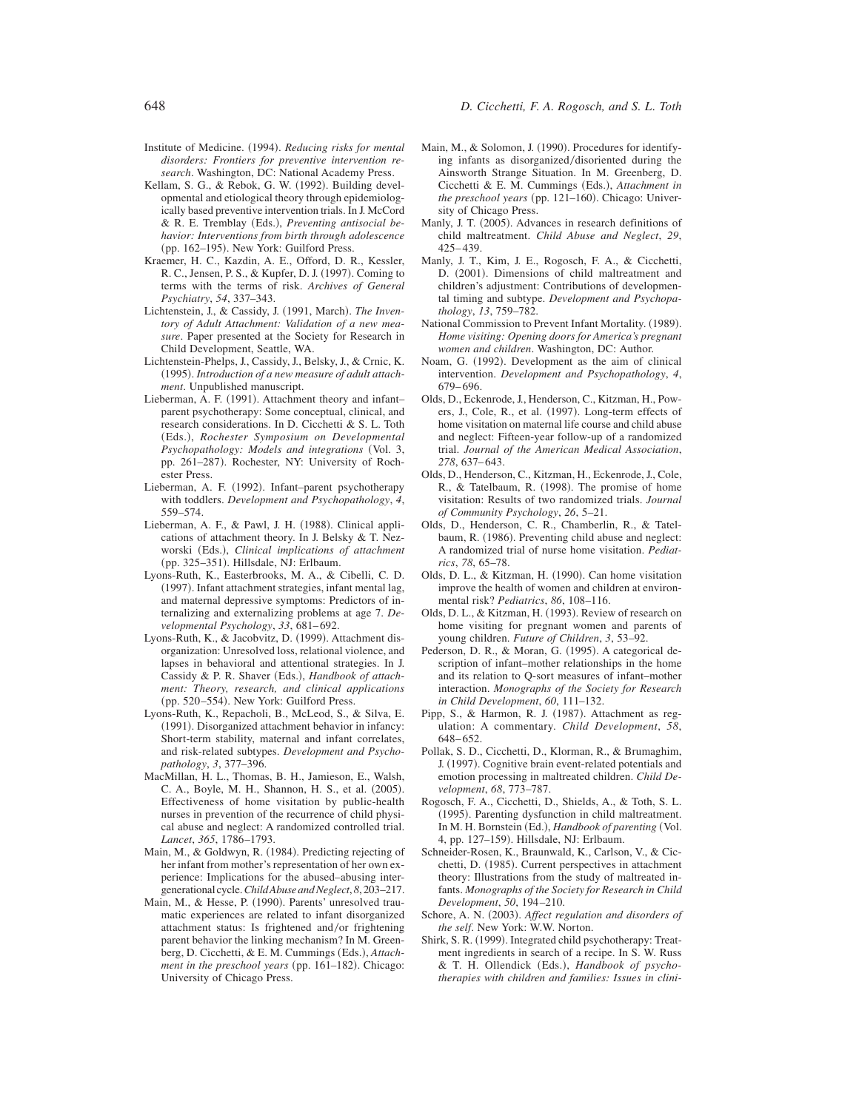- Institute of Medicine. (1994). *Reducing risks for mental disorders: Frontiers for preventive intervention research*. Washington, DC: National Academy Press.
- Kellam, S. G., & Rebok, G. W. (1992). Building developmental and etiological theory through epidemiologically based preventive intervention trials. In J. McCord  $&$  R. E. Tremblay (Eds.), *Preventing antisocial behavior: Interventions from birth through adolescence*  $(pp. 162–195)$ . New York: Guilford Press.
- Kraemer, H. C., Kazdin, A. E., Offord, D. R., Kessler, R. C., Jensen, P. S., & Kupfer, D. J. (1997). Coming to terms with the terms of risk. *Archives of General Psychiatry*, *54*, 337–343.
- Lichtenstein, J., & Cassidy, J. (1991, March). *The Inventory of Adult Attachment: Validation of a new measure*. Paper presented at the Society for Research in Child Development, Seattle, WA.
- Lichtenstein-Phelps, J., Cassidy, J., Belsky, J., & Crnic, K. ~1995!. *Introduction of a new measure of adult attachment*. Unpublished manuscript.
- Lieberman, A. F. (1991). Attachment theory and infant– parent psychotherapy: Some conceptual, clinical, and research considerations. In D. Cicchetti & S. L. Toth ~Eds.!, *Rochester Symposium on Developmental Psychopathology: Models and integrations* (Vol. 3, pp. 261-287). Rochester, NY: University of Rochester Press.
- Lieberman, A. F. (1992). Infant–parent psychotherapy with toddlers. *Development and Psychopathology*, *4*, 559–574.
- Lieberman, A. F., & Pawl, J. H. (1988). Clinical applications of attachment theory. In J. Belsky & T. Nezworski (Eds.), *Clinical implications of attachment* (pp. 325–351). Hillsdale, NJ: Erlbaum.
- Lyons-Ruth, K., Easterbrooks, M. A., & Cibelli, C. D. (1997). Infant attachment strategies, infant mental lag, and maternal depressive symptoms: Predictors of internalizing and externalizing problems at age 7. *Developmental Psychology*, *33*, 681– 692.
- Lyons-Ruth, K., & Jacobvitz, D. (1999). Attachment disorganization: Unresolved loss, relational violence, and lapses in behavioral and attentional strategies. In J. Cassidy & P. R. Shaver (Eds.), *Handbook of attachment: Theory, research, and clinical applications* (pp. 520–554). New York: Guilford Press.
- Lyons-Ruth, K., Repacholi, B., McLeod, S., & Silva, E. (1991). Disorganized attachment behavior in infancy: Short-term stability, maternal and infant correlates, and risk-related subtypes. *Development and Psychopathology*, *3*, 377–396.
- MacMillan, H. L., Thomas, B. H., Jamieson, E., Walsh, C. A., Boyle, M. H., Shannon, H. S., et al. (2005). Effectiveness of home visitation by public-health nurses in prevention of the recurrence of child physical abuse and neglect: A randomized controlled trial. *Lancet*, *365*, 1786–1793.
- Main, M., & Goldwyn, R. (1984). Predicting rejecting of her infant from mother's representation of her own experience: Implications for the abused–abusing intergenerational cycle.*ChildAbuse andNeglect*, *8*, 203–217.
- Main, M., & Hesse, P. (1990). Parents' unresolved traumatic experiences are related to infant disorganized attachment status: Is frightened and/or frightening parent behavior the linking mechanism? In M. Greenberg, D. Cicchetti, & E. M. Cummings (Eds.), *Attachment in the preschool years* (pp. 161–182). Chicago: University of Chicago Press.
- Main, M., & Solomon, J. (1990). Procedures for identifying infants as disorganized/disoriented during the Ainsworth Strange Situation. In M. Greenberg, D. Cicchetti & E. M. Cummings (Eds.), *Attachment in the preschool years* (pp. 121–160). Chicago: University of Chicago Press.
- Manly, J. T. (2005). Advances in research definitions of child maltreatment. *Child Abuse and Neglect*, *29*, 425– 439.
- Manly, J. T., Kim, J. E., Rogosch, F. A., & Cicchetti, D. (2001). Dimensions of child maltreatment and children's adjustment: Contributions of developmental timing and subtype. *Development and Psychopathology*, *13*, 759–782.
- National Commission to Prevent Infant Mortality. (1989). *Home visiting: Opening doors for America's pregnant women and children*. Washington, DC: Author.
- Noam, G. (1992). Development as the aim of clinical intervention. *Development and Psychopathology*, *4*, 679– 696.
- Olds, D., Eckenrode, J., Henderson, C., Kitzman, H., Powers, J., Cole, R., et al. (1997). Long-term effects of home visitation on maternal life course and child abuse and neglect: Fifteen-year follow-up of a randomized trial. *Journal of the American Medical Association*, *278*, 637– 643.
- Olds, D., Henderson, C., Kitzman, H., Eckenrode, J., Cole, R., & Tatelbaum, R. (1998). The promise of home visitation: Results of two randomized trials. *Journal of Community Psychology*, *26*, 5–21.
- Olds, D., Henderson, C. R., Chamberlin, R., & Tatelbaum, R. (1986). Preventing child abuse and neglect: A randomized trial of nurse home visitation. *Pediatrics*, *78*, 65–78.
- Olds, D. L., & Kitzman, H. (1990). Can home visitation improve the health of women and children at environmental risk? *Pediatrics*, *86*, 108–116.
- Olds, D. L., & Kitzman, H. (1993). Review of research on home visiting for pregnant women and parents of young children. *Future of Children*, *3*, 53–92.
- Pederson, D. R., & Moran, G. (1995). A categorical description of infant–mother relationships in the home and its relation to Q-sort measures of infant–mother interaction. *Monographs of the Society for Research in Child Development*, *60*, 111–132.
- Pipp, S., & Harmon, R. J. (1987). Attachment as regulation: A commentary. *Child Development*, *58*, 648– 652.
- Pollak, S. D., Cicchetti, D., Klorman, R., & Brumaghim, J. (1997). Cognitive brain event-related potentials and emotion processing in maltreated children. *Child Development*, *68*, 773–787.
- Rogosch, F. A., Cicchetti, D., Shields, A., & Toth, S. L. (1995). Parenting dysfunction in child maltreatment. In M. H. Bornstein (Ed.), *Handbook of parenting* (Vol. 4, pp. 127-159). Hillsdale, NJ: Erlbaum.
- Schneider-Rosen, K., Braunwald, K., Carlson, V., & Cicchetti, D. (1985). Current perspectives in attachment theory: Illustrations from the study of maltreated infants. *Monographs of the Society for Research in Child Development*, *50*, 194–210.
- Schore, A. N. (2003). *Affect regulation and disorders of the self*. New York: W.W. Norton.
- Shirk, S. R. (1999). Integrated child psychotherapy: Treatment ingredients in search of a recipe. In S. W. Russ  $&$  T. H. Ollendick (Eds.), *Handbook of psychotherapies with children and families: Issues in clini-*